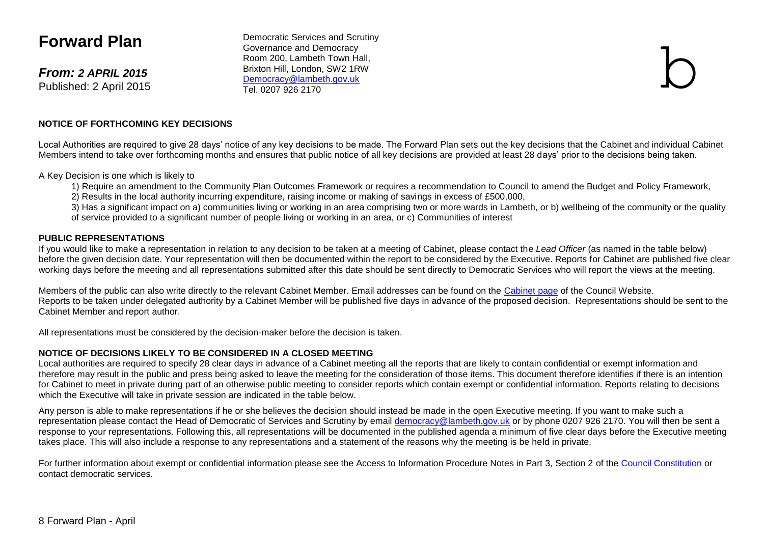# **Forward Plan**

*From: 2 APRIL 2015* Published: 2 April 2015

Democratic Services and Scrutiny Governance and Democracy Room 200, Lambeth Town Hall, Brixton Hill, London, SW2 1RW [Democracy@lambeth.gov.uk](mailto:Democracy@lambeth.gov.uk)<br>Tel 0207 926 2170 Democratic Services and Scrutiny<br>Governance and Democracy<br>Room 200, Lambeth Town Hall,<br>Brixton Hill, London, SW2 1RW<br><u>Democracy@lambeth.gov.uk</u><br>Tel. 0207 926 2170

#### **NOTICE OF FORTHCOMING KEY DECISIONS**

Local Authorities are required to give 28 days' notice of any key decisions to be made. The Forward Plan sets out the key decisions that the Cabinet and individual Cabinet Members intend to take over forthcoming months and ensures that public notice of all key decisions are provided at least 28 days' prior to the decisions being taken.

A Key Decision is one which is likely to

- 1) Require an amendment to the Community Plan Outcomes Framework or requires a recommendation to Council to amend the Budget and Policy Framework,
- 2) Results in the local authority incurring expenditure, raising income or making of savings in excess of £500,000,

3) Has a significant impact on a) communities living or working in an area comprising two or more wards in Lambeth, or b) wellbeing of the community or the quality of service provided to a significant number of people living or working in an area, or c) Communities of interest

#### **PUBLIC REPRESENTATIONS**

If you would like to make a representation in relation to any decision to be taken at a meeting of Cabinet, please contact the *Lead Officer* (as named in the table below) before the given decision date. Your representation will then be documented within the report to be considered by the Executive. Reports for Cabinet are published five clear working days before the meeting and all representations submitted after this date should be sent directly to Democratic Services who will report the views at the meeting.

Members of the public can also write directly to the relevant Cabinet Member. Email addresses can be found on the [Cabinet page](http://www.lambeth.gov.uk/elections-and-council/councillors/the-mayor-the-leader-of-the-council-and-cabinet-members-guide#the-cabinet) of the Council Website. Reports to be taken under delegated authority by a Cabinet Member will be published five days in advance of the proposed decision. Representations should be sent to the Cabinet Member and report author.

All representations must be considered by the decision-maker before the decision is taken.

#### **NOTICE OF DECISIONS LIKELY TO BE CONSIDERED IN A CLOSED MEETING**

Local authorities are required to specify 28 clear days in advance of a Cabinet meeting all the reports that are likely to contain confidential or exempt information and therefore may result in the public and press being asked to leave the meeting for the consideration of those items. This document therefore identifies if there is an intention for Cabinet to meet in private during part of an otherwise public meeting to consider reports which contain exempt or confidential information. Reports relating to decisions which the Executive will take in private session are indicated in the table below.

Any person is able to make representations if he or she believes the decision should instead be made in the open Executive meeting. If you want to make such a representation please contact the Head of Democratic of Services and Scrutiny by email [democracy@lambeth.gov.uk](mailto:democracy@lambeth.gov.uk) or by phone 0207 926 2170. You will then be sent a response to your representations. Following this, all representations will be documented in the published agenda a minimum of five clear days before the Executive meeting takes place. This will also include a response to any representations and a statement of the reasons why the meeting is be held in private.

For further information about exempt or confidential information please see the Access to Information Procedure Notes in Part 3, Section 2 of the [Council Constitution](http://www.lambeth.gov.uk/sites/default/files/ec-Council-Constitution-2014-15-approved-with-changes-November-2014.pdf) or contact democratic services.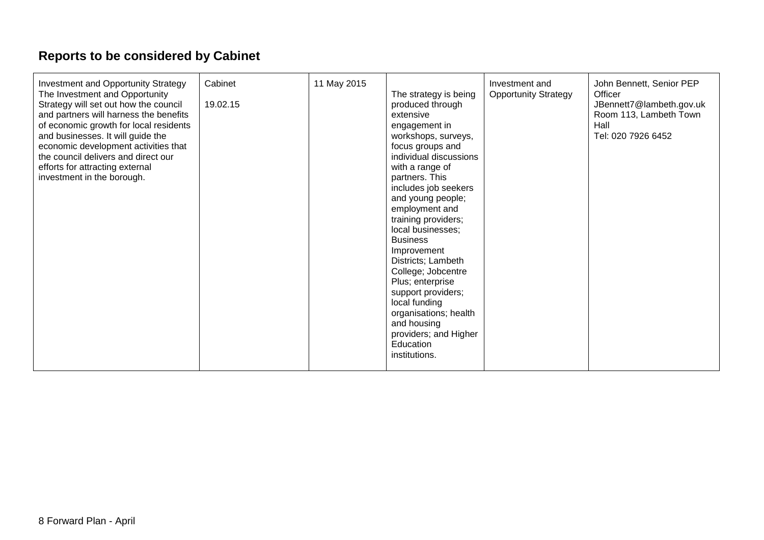# **Reports to be considered by Cabinet**

| Investment and Opportunity Strategy<br>The Investment and Opportunity<br>Strategy will set out how the council<br>and partners will harness the benefits<br>of economic growth for local residents<br>and businesses. It will guide the<br>economic development activities that<br>the council delivers and direct our<br>efforts for attracting external<br>investment in the borough. | Cabinet<br>19.02.15 | 11 May 2015 | The strategy is being<br>produced through<br>extensive<br>engagement in<br>workshops, surveys,<br>focus groups and<br>individual discussions<br>with a range of<br>partners. This<br>includes job seekers<br>and young people;<br>employment and<br>training providers;<br>local businesses;<br><b>Business</b><br>Improvement<br>Districts; Lambeth<br>College; Jobcentre<br>Plus; enterprise<br>support providers;<br>local funding<br>organisations; health<br>and housing<br>providers; and Higher<br>Education<br>institutions. | Investment and<br><b>Opportunity Strategy</b> | John Bennett, Senior PEP<br>Officer<br>JBennett7@lambeth.gov.uk<br>Room 113, Lambeth Town<br>Hall<br>Tel: 020 7926 6452 |
|-----------------------------------------------------------------------------------------------------------------------------------------------------------------------------------------------------------------------------------------------------------------------------------------------------------------------------------------------------------------------------------------|---------------------|-------------|--------------------------------------------------------------------------------------------------------------------------------------------------------------------------------------------------------------------------------------------------------------------------------------------------------------------------------------------------------------------------------------------------------------------------------------------------------------------------------------------------------------------------------------|-----------------------------------------------|-------------------------------------------------------------------------------------------------------------------------|
|-----------------------------------------------------------------------------------------------------------------------------------------------------------------------------------------------------------------------------------------------------------------------------------------------------------------------------------------------------------------------------------------|---------------------|-------------|--------------------------------------------------------------------------------------------------------------------------------------------------------------------------------------------------------------------------------------------------------------------------------------------------------------------------------------------------------------------------------------------------------------------------------------------------------------------------------------------------------------------------------------|-----------------------------------------------|-------------------------------------------------------------------------------------------------------------------------|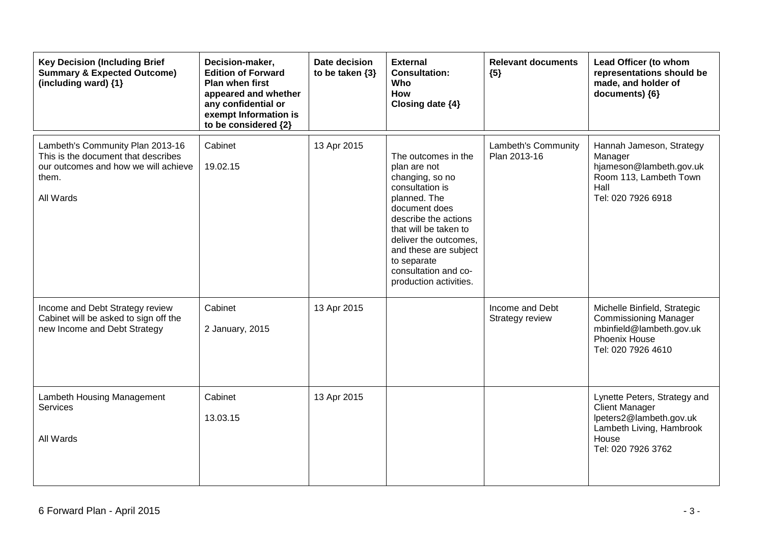| <b>Key Decision (Including Brief</b><br><b>Summary &amp; Expected Outcome)</b><br>(including ward) {1}                                | Decision-maker,<br><b>Edition of Forward</b><br>Plan when first<br>appeared and whether<br>any confidential or<br>exempt Information is<br>to be considered {2} | Date decision<br>to be taken $\{3\}$ | <b>External</b><br><b>Consultation:</b><br>Who<br>How<br>Closing date {4}                                                                                                                                                                                                      | <b>Relevant documents</b><br>${5}$  | Lead Officer (to whom<br>representations should be<br>made, and holder of<br>documents) {6}                                                 |
|---------------------------------------------------------------------------------------------------------------------------------------|-----------------------------------------------------------------------------------------------------------------------------------------------------------------|--------------------------------------|--------------------------------------------------------------------------------------------------------------------------------------------------------------------------------------------------------------------------------------------------------------------------------|-------------------------------------|---------------------------------------------------------------------------------------------------------------------------------------------|
| Lambeth's Community Plan 2013-16<br>This is the document that describes<br>our outcomes and how we will achieve<br>them.<br>All Wards | Cabinet<br>19.02.15                                                                                                                                             | 13 Apr 2015                          | The outcomes in the<br>plan are not<br>changing, so no<br>consultation is<br>planned. The<br>document does<br>describe the actions<br>that will be taken to<br>deliver the outcomes,<br>and these are subject<br>to separate<br>consultation and co-<br>production activities. | Lambeth's Community<br>Plan 2013-16 | Hannah Jameson, Strategy<br>Manager<br>hjameson@lambeth.gov.uk<br>Room 113, Lambeth Town<br>Hall<br>Tel: 020 7926 6918                      |
| Income and Debt Strategy review<br>Cabinet will be asked to sign off the<br>new Income and Debt Strategy                              | Cabinet<br>2 January, 2015                                                                                                                                      | 13 Apr 2015                          |                                                                                                                                                                                                                                                                                | Income and Debt<br>Strategy review  | Michelle Binfield, Strategic<br><b>Commissioning Manager</b><br>mbinfield@lambeth.gov.uk<br>Phoenix House<br>Tel: 020 7926 4610             |
| Lambeth Housing Management<br>Services<br>All Wards                                                                                   | Cabinet<br>13.03.15                                                                                                                                             | 13 Apr 2015                          |                                                                                                                                                                                                                                                                                |                                     | Lynette Peters, Strategy and<br><b>Client Manager</b><br>lpeters2@lambeth.gov.uk<br>Lambeth Living, Hambrook<br>House<br>Tel: 020 7926 3762 |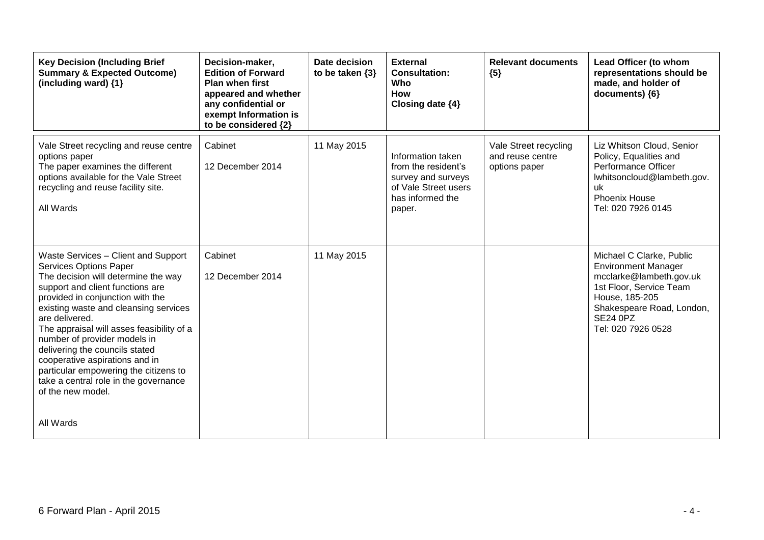| <b>Key Decision (Including Brief</b><br><b>Summary &amp; Expected Outcome)</b><br>(including ward) {1}                                                                                                                                                                                                                                                                                                                                                                                                 | Decision-maker,<br><b>Edition of Forward</b><br><b>Plan when first</b><br>appeared and whether<br>any confidential or<br>exempt Information is<br>to be considered {2} | Date decision<br>to be taken $\{3\}$ | <b>External</b><br><b>Consultation:</b><br>Who<br><b>How</b><br>Closing date {4}                                     | <b>Relevant documents</b><br>${5}$                         | Lead Officer (to whom<br>representations should be<br>made, and holder of<br>documents) {6}                                                                                                          |
|--------------------------------------------------------------------------------------------------------------------------------------------------------------------------------------------------------------------------------------------------------------------------------------------------------------------------------------------------------------------------------------------------------------------------------------------------------------------------------------------------------|------------------------------------------------------------------------------------------------------------------------------------------------------------------------|--------------------------------------|----------------------------------------------------------------------------------------------------------------------|------------------------------------------------------------|------------------------------------------------------------------------------------------------------------------------------------------------------------------------------------------------------|
| Vale Street recycling and reuse centre<br>options paper<br>The paper examines the different<br>options available for the Vale Street<br>recycling and reuse facility site.<br>All Wards                                                                                                                                                                                                                                                                                                                | Cabinet<br>12 December 2014                                                                                                                                            | 11 May 2015                          | Information taken<br>from the resident's<br>survey and surveys<br>of Vale Street users<br>has informed the<br>paper. | Vale Street recycling<br>and reuse centre<br>options paper | Liz Whitson Cloud, Senior<br>Policy, Equalities and<br>Performance Officer<br>lwhitsoncloud@lambeth.gov.<br>uk<br><b>Phoenix House</b><br>Tel: 020 7926 0145                                         |
| Waste Services - Client and Support<br><b>Services Options Paper</b><br>The decision will determine the way<br>support and client functions are<br>provided in conjunction with the<br>existing waste and cleansing services<br>are delivered.<br>The appraisal will asses feasibility of a<br>number of provider models in<br>delivering the councils stated<br>cooperative aspirations and in<br>particular empowering the citizens to<br>take a central role in the governance<br>of the new model. | Cabinet<br>12 December 2014                                                                                                                                            | 11 May 2015                          |                                                                                                                      |                                                            | Michael C Clarke, Public<br><b>Environment Manager</b><br>mcclarke@lambeth.gov.uk<br>1st Floor, Service Team<br>House, 185-205<br>Shakespeare Road, London,<br><b>SE24 0PZ</b><br>Tel: 020 7926 0528 |
| All Wards                                                                                                                                                                                                                                                                                                                                                                                                                                                                                              |                                                                                                                                                                        |                                      |                                                                                                                      |                                                            |                                                                                                                                                                                                      |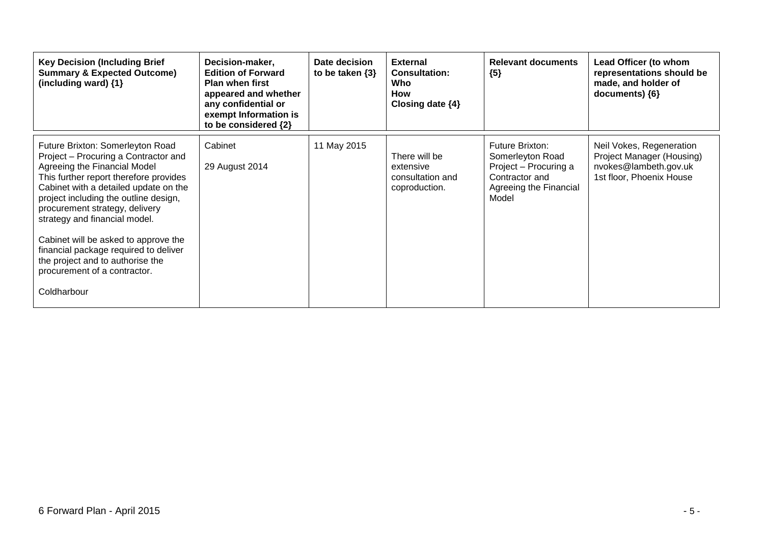| <b>Key Decision (Including Brief</b><br><b>Summary &amp; Expected Outcome)</b><br>(including ward) $\{1\}$                                                                                                                                                                                                                                                                                                                                                                  | Decision-maker,<br><b>Edition of Forward</b><br><b>Plan when first</b><br>appeared and whether<br>any confidential or<br>exempt Information is<br>to be considered {2} | Date decision<br>to be taken $\{3\}$ | <b>External</b><br><b>Consultation:</b><br>Who<br>How<br>Closing date $\{4\}$ | <b>Relevant documents</b><br>${5}$                                                                                       | Lead Officer (to whom<br>representations should be<br>made, and holder of<br>documents) ${6}$              |
|-----------------------------------------------------------------------------------------------------------------------------------------------------------------------------------------------------------------------------------------------------------------------------------------------------------------------------------------------------------------------------------------------------------------------------------------------------------------------------|------------------------------------------------------------------------------------------------------------------------------------------------------------------------|--------------------------------------|-------------------------------------------------------------------------------|--------------------------------------------------------------------------------------------------------------------------|------------------------------------------------------------------------------------------------------------|
| Future Brixton: Somerleyton Road<br>Project - Procuring a Contractor and<br>Agreeing the Financial Model<br>This further report therefore provides<br>Cabinet with a detailed update on the<br>project including the outline design,<br>procurement strategy, delivery<br>strategy and financial model.<br>Cabinet will be asked to approve the<br>financial package required to deliver<br>the project and to authorise the<br>procurement of a contractor.<br>Coldharbour | Cabinet<br>29 August 2014                                                                                                                                              | 11 May 2015                          | There will be<br>extensive<br>consultation and<br>coproduction.               | <b>Future Brixton:</b><br>Somerleyton Road<br>Project - Procuring a<br>Contractor and<br>Agreeing the Financial<br>Model | Neil Vokes, Regeneration<br>Project Manager (Housing)<br>nvokes@lambeth.gov.uk<br>1st floor, Phoenix House |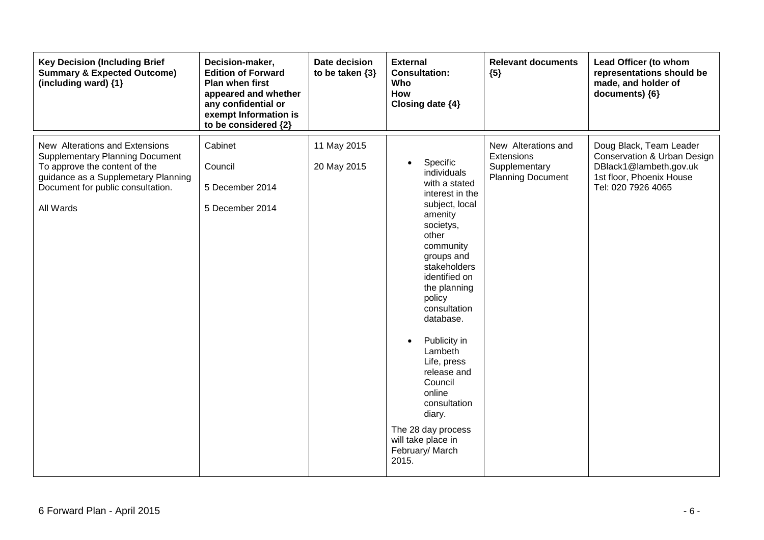| <b>Key Decision (Including Brief</b><br><b>Summary &amp; Expected Outcome)</b><br>(including ward) {1}                                                                                             | Decision-maker,<br><b>Edition of Forward</b><br>Plan when first<br>appeared and whether<br>any confidential or<br>exempt Information is<br>to be considered {2} | Date decision<br>to be taken $\{3\}$ | <b>External</b><br><b>Consultation:</b><br>Who<br><b>How</b><br>Closing date {4}                                                                                                                                                                                                                                                                                                                                  | <b>Relevant documents</b><br>${5}$                                             | Lead Officer (to whom<br>representations should be<br>made, and holder of<br>documents) {6}                                        |
|----------------------------------------------------------------------------------------------------------------------------------------------------------------------------------------------------|-----------------------------------------------------------------------------------------------------------------------------------------------------------------|--------------------------------------|-------------------------------------------------------------------------------------------------------------------------------------------------------------------------------------------------------------------------------------------------------------------------------------------------------------------------------------------------------------------------------------------------------------------|--------------------------------------------------------------------------------|------------------------------------------------------------------------------------------------------------------------------------|
| New Alterations and Extensions<br><b>Supplementary Planning Document</b><br>To approve the content of the<br>guidance as a Supplemetary Planning<br>Document for public consultation.<br>All Wards | Cabinet<br>Council<br>5 December 2014<br>5 December 2014                                                                                                        | 11 May 2015<br>20 May 2015           | Specific<br>individuals<br>with a stated<br>interest in the<br>subject, local<br>amenity<br>societys,<br>other<br>community<br>groups and<br>stakeholders<br>identified on<br>the planning<br>policy<br>consultation<br>database.<br>Publicity in<br>Lambeth<br>Life, press<br>release and<br>Council<br>online<br>consultation<br>diary.<br>The 28 day process<br>will take place in<br>February/ March<br>2015. | New Alterations and<br>Extensions<br>Supplementary<br><b>Planning Document</b> | Doug Black, Team Leader<br>Conservation & Urban Design<br>DBlack1@lambeth.gov.uk<br>1st floor, Phoenix House<br>Tel: 020 7926 4065 |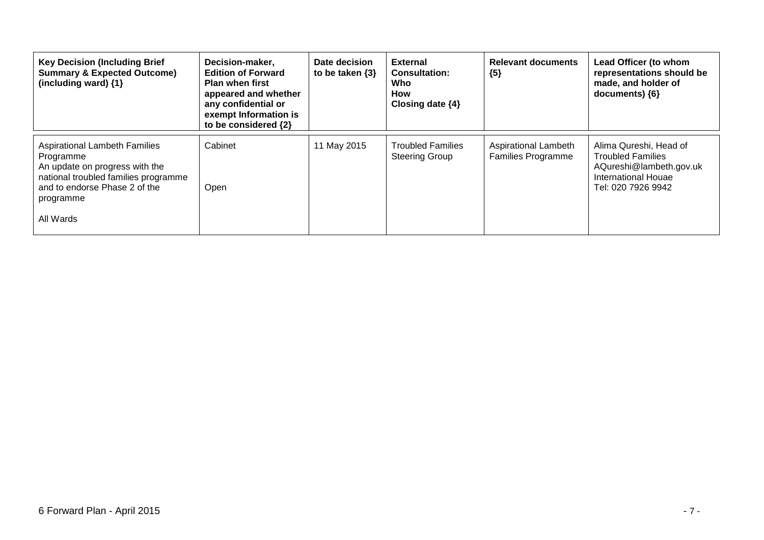| <b>Key Decision (Including Brief</b><br><b>Summary &amp; Expected Outcome)</b><br>(including ward) {1}                                                                                 | Decision-maker,<br><b>Edition of Forward</b><br><b>Plan when first</b><br>appeared and whether<br>any confidential or<br>exempt Information is<br>to be considered {2} | Date decision<br>to be taken $\{3\}$ | <b>External</b><br><b>Consultation:</b><br>Who<br>How<br>Closing date $\{4\}$ | <b>Relevant documents</b><br>${5}$                | Lead Officer (to whom<br>representations should be<br>made, and holder of<br>$documents)$ {6}                              |
|----------------------------------------------------------------------------------------------------------------------------------------------------------------------------------------|------------------------------------------------------------------------------------------------------------------------------------------------------------------------|--------------------------------------|-------------------------------------------------------------------------------|---------------------------------------------------|----------------------------------------------------------------------------------------------------------------------------|
| <b>Aspirational Lambeth Families</b><br>Programme<br>An update on progress with the<br>national troubled families programme<br>and to endorse Phase 2 of the<br>programme<br>All Wards | Cabinet<br>Open                                                                                                                                                        | 11 May 2015                          | <b>Troubled Families</b><br><b>Steering Group</b>                             | Aspirational Lambeth<br><b>Families Programme</b> | Alima Qureshi, Head of<br><b>Troubled Families</b><br>AQureshi@lambeth.gov.uk<br>International Houae<br>Tel: 020 7926 9942 |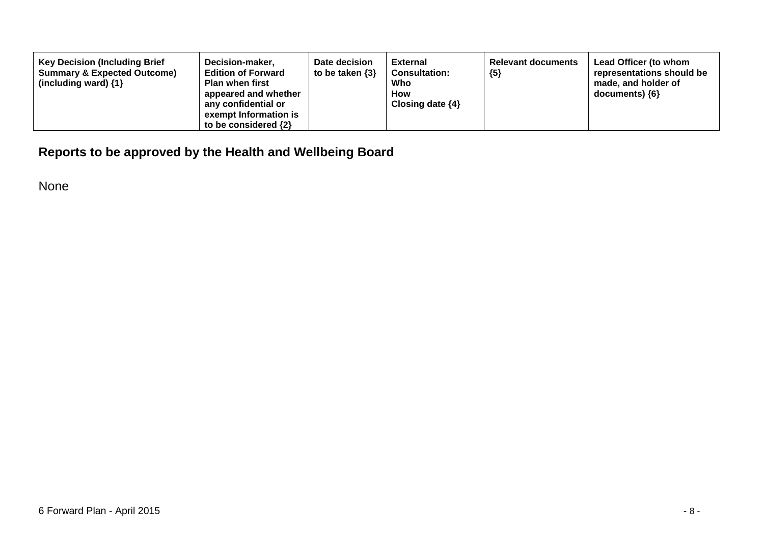| <b>Key Decision (Including Brief</b><br>Decision-maker,<br><b>Edition of Forward</b><br><b>Summary &amp; Expected Outcome)</b><br><b>Plan when first</b><br>(including ward) $\{1\}$<br>appeared and whether<br>any confidential or<br>exempt Information is<br>to be considered $\{2\}$ | Date decision<br>to be taken $\{3\}$ | External<br><b>Consultation:</b><br>Who<br>How<br>Closing date $\{4\}$ | <b>Relevant documents</b><br>${5}$ | Lead Officer (to whom<br>representations should be<br>made, and holder of<br>documents) ${6}$ |
|------------------------------------------------------------------------------------------------------------------------------------------------------------------------------------------------------------------------------------------------------------------------------------------|--------------------------------------|------------------------------------------------------------------------|------------------------------------|-----------------------------------------------------------------------------------------------|
|------------------------------------------------------------------------------------------------------------------------------------------------------------------------------------------------------------------------------------------------------------------------------------------|--------------------------------------|------------------------------------------------------------------------|------------------------------------|-----------------------------------------------------------------------------------------------|

### **Reports to be approved by the Health and Wellbeing Board**

None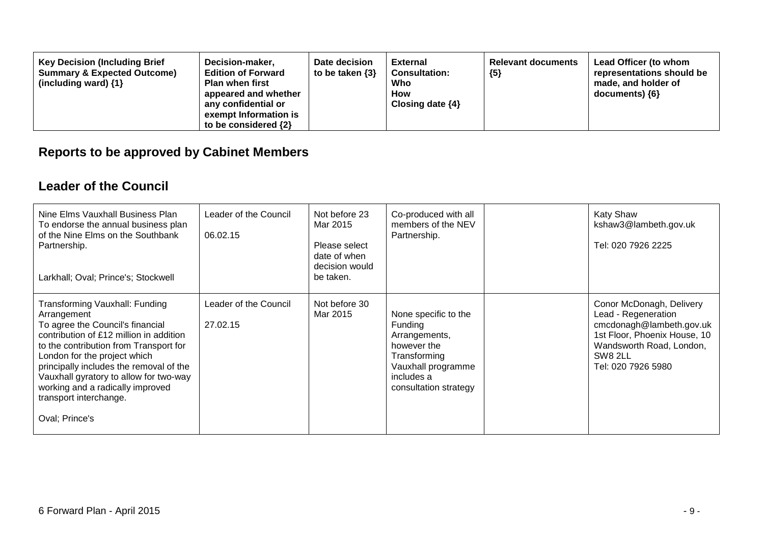| <b>Key Decision (Including Brief</b><br><b>Summary &amp; Expected Outcome)</b><br>(including ward) $\{1\}$ | Decision-maker,<br><b>Edition of Forward</b><br><b>Plan when first</b><br>appeared and whether<br>any confidential or<br>exempt Information is<br>to be considered $\{2\}$ | Date decision<br>to be taken $\{3\}$ | <b>External</b><br><b>Consultation:</b><br>Who<br><b>How</b><br>Closing date $\{4\}$ | <b>Relevant documents</b><br>${5}$ | Lead Officer (to whom<br>representations should be<br>made, and holder of<br>$documents)$ {6} |
|------------------------------------------------------------------------------------------------------------|----------------------------------------------------------------------------------------------------------------------------------------------------------------------------|--------------------------------------|--------------------------------------------------------------------------------------|------------------------------------|-----------------------------------------------------------------------------------------------|
|------------------------------------------------------------------------------------------------------------|----------------------------------------------------------------------------------------------------------------------------------------------------------------------------|--------------------------------------|--------------------------------------------------------------------------------------|------------------------------------|-----------------------------------------------------------------------------------------------|

# **Reports to be approved by Cabinet Members**

#### **Leader of the Council**

| Nine Elms Vauxhall Business Plan<br>To endorse the annual business plan<br>of the Nine Elms on the Southbank<br>Partnership.<br>Larkhall; Oval; Prince's; Stockwell                                                                                                                                                                                                         | Leader of the Council<br>06.02.15 | Not before 23<br>Mar 2015<br>Please select<br>date of when<br>decision would<br>be taken. | Co-produced with all<br>members of the NEV<br>Partnership.                                                                                   | <b>Katy Shaw</b><br>kshaw3@lambeth.gov.uk<br>Tel: 020 7926 2225                                                                                                          |
|-----------------------------------------------------------------------------------------------------------------------------------------------------------------------------------------------------------------------------------------------------------------------------------------------------------------------------------------------------------------------------|-----------------------------------|-------------------------------------------------------------------------------------------|----------------------------------------------------------------------------------------------------------------------------------------------|--------------------------------------------------------------------------------------------------------------------------------------------------------------------------|
| Transforming Vauxhall: Funding<br>Arrangement<br>To agree the Council's financial<br>contribution of £12 million in addition<br>to the contribution from Transport for<br>London for the project which<br>principally includes the removal of the<br>Vauxhall gyratory to allow for two-way<br>working and a radically improved<br>transport interchange.<br>Oval; Prince's | Leader of the Council<br>27.02.15 | Not before 30<br>Mar 2015                                                                 | None specific to the<br>Funding<br>Arrangements,<br>however the<br>Transforming<br>Vauxhall programme<br>includes a<br>consultation strategy | Conor McDonagh, Delivery<br>Lead - Regeneration<br>cmcdonagh@lambeth.gov.uk<br>1st Floor, Phoenix House, 10<br>Wandsworth Road, London,<br>SW8 2LL<br>Tel: 020 7926 5980 |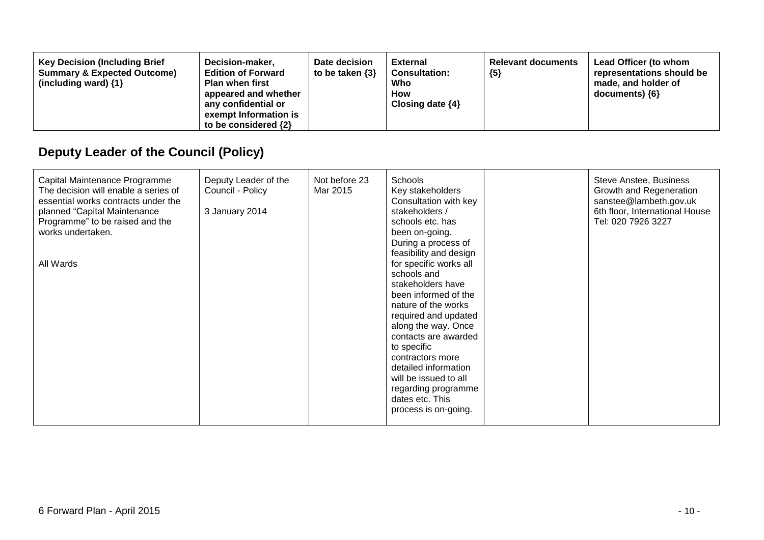| <b>Key Decision (Including Brief</b><br>Decision-maker,<br><b>Summary &amp; Expected Outcome)</b><br><b>Edition of Forward</b><br><b>Plan when first</b><br>(including ward) $\{1\}$<br>appeared and whether<br>any confidential or<br>exempt Information is<br>to be considered $\{2\}$ | Date decision<br>to be taken $\{3\}$ | External<br><b>Consultation:</b><br>Who<br><b>How</b><br>Closing date $\{4\}$ | <b>Relevant documents</b><br>${5}$ | Lead Officer (to whom<br>representations should be<br>made, and holder of<br>$documents)$ {6} |
|------------------------------------------------------------------------------------------------------------------------------------------------------------------------------------------------------------------------------------------------------------------------------------------|--------------------------------------|-------------------------------------------------------------------------------|------------------------------------|-----------------------------------------------------------------------------------------------|
|------------------------------------------------------------------------------------------------------------------------------------------------------------------------------------------------------------------------------------------------------------------------------------------|--------------------------------------|-------------------------------------------------------------------------------|------------------------------------|-----------------------------------------------------------------------------------------------|

# **Deputy Leader of the Council (Policy)**

| Capital Maintenance Programme<br>The decision will enable a series of<br>essential works contracts under the<br>planned "Capital Maintenance<br>Programme" to be raised and the<br>works undertaken.<br>All Wards | Deputy Leader of the<br>Council - Policy<br>3 January 2014 | Not before 23<br>Mar 2015 | Schools<br>Key stakeholders<br>Consultation with key<br>stakeholders /<br>schools etc. has<br>been on-going.<br>During a process of<br>feasibility and design<br>for specific works all<br>schools and<br>stakeholders have<br>been informed of the<br>nature of the works<br>required and updated<br>along the way. Once<br>contacts are awarded<br>to specific<br>contractors more<br>detailed information<br>will be issued to all<br>regarding programme<br>dates etc. This | Steve Anstee, Business<br>Growth and Regeneration<br>sanstee@lambeth.gov.uk<br>6th floor, International House<br>Tel: 020 7926 3227 |
|-------------------------------------------------------------------------------------------------------------------------------------------------------------------------------------------------------------------|------------------------------------------------------------|---------------------------|---------------------------------------------------------------------------------------------------------------------------------------------------------------------------------------------------------------------------------------------------------------------------------------------------------------------------------------------------------------------------------------------------------------------------------------------------------------------------------|-------------------------------------------------------------------------------------------------------------------------------------|
|                                                                                                                                                                                                                   |                                                            |                           | process is on-going.                                                                                                                                                                                                                                                                                                                                                                                                                                                            |                                                                                                                                     |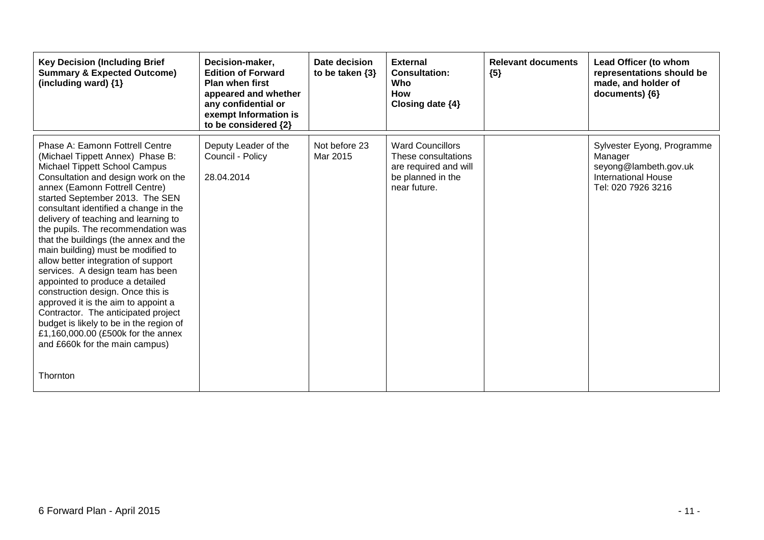| <b>Key Decision (Including Brief</b><br><b>Summary &amp; Expected Outcome)</b><br>(including ward) {1}                                                                                                                                                                                                                                                                                                                                                                                                                                                                                                                                                                                                                                                                                        | Decision-maker,<br><b>Edition of Forward</b><br><b>Plan when first</b><br>appeared and whether<br>any confidential or<br>exempt Information is<br>to be considered {2} | Date decision<br>to be taken $\{3\}$ | <b>External</b><br><b>Consultation:</b><br>Who<br><b>How</b><br>Closing date {4}                             | <b>Relevant documents</b><br>${5}$ | Lead Officer (to whom<br>representations should be<br>made, and holder of<br>documents) {6}                        |
|-----------------------------------------------------------------------------------------------------------------------------------------------------------------------------------------------------------------------------------------------------------------------------------------------------------------------------------------------------------------------------------------------------------------------------------------------------------------------------------------------------------------------------------------------------------------------------------------------------------------------------------------------------------------------------------------------------------------------------------------------------------------------------------------------|------------------------------------------------------------------------------------------------------------------------------------------------------------------------|--------------------------------------|--------------------------------------------------------------------------------------------------------------|------------------------------------|--------------------------------------------------------------------------------------------------------------------|
| Phase A: Eamonn Fottrell Centre<br>(Michael Tippett Annex) Phase B:<br><b>Michael Tippett School Campus</b><br>Consultation and design work on the<br>annex (Eamonn Fottrell Centre)<br>started September 2013. The SEN<br>consultant identified a change in the<br>delivery of teaching and learning to<br>the pupils. The recommendation was<br>that the buildings (the annex and the<br>main building) must be modified to<br>allow better integration of support<br>services. A design team has been<br>appointed to produce a detailed<br>construction design. Once this is<br>approved it is the aim to appoint a<br>Contractor. The anticipated project<br>budget is likely to be in the region of<br>£1,160,000.00 (£500k for the annex<br>and £660k for the main campus)<br>Thornton | Deputy Leader of the<br>Council - Policy<br>28.04.2014                                                                                                                 | Not before 23<br>Mar 2015            | <b>Ward Councillors</b><br>These consultations<br>are required and will<br>be planned in the<br>near future. |                                    | Sylvester Eyong, Programme<br>Manager<br>seyong@lambeth.gov.uk<br><b>International House</b><br>Tel: 020 7926 3216 |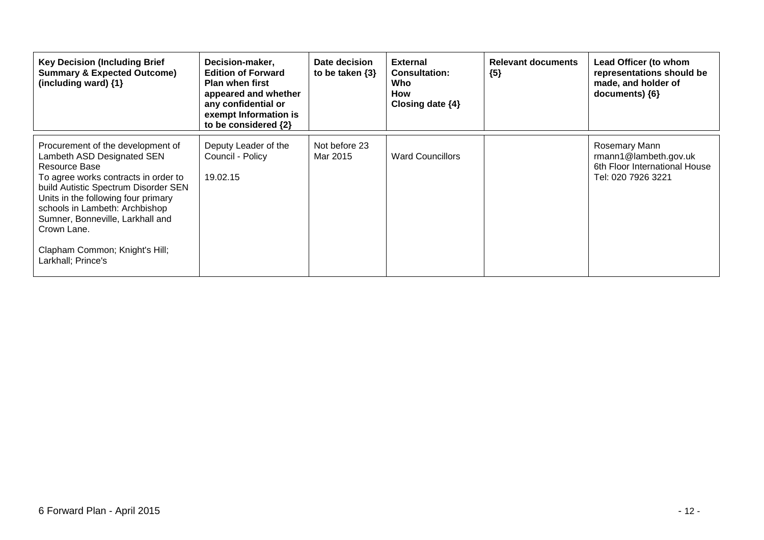| <b>Key Decision (Including Brief</b><br><b>Summary &amp; Expected Outcome)</b><br>(including ward) {1}                                                                                                                                                                                                                                               | Decision-maker,<br><b>Edition of Forward</b><br><b>Plan when first</b><br>appeared and whether<br>any confidential or<br>exempt Information is<br>to be considered {2} | Date decision<br>to be taken $\{3\}$ | <b>External</b><br><b>Consultation:</b><br>Who<br>How<br>Closing date $\{4\}$ | <b>Relevant documents</b><br>${5}$ | Lead Officer (to whom<br>representations should be<br>made, and holder of<br>documents) ${6}$    |
|------------------------------------------------------------------------------------------------------------------------------------------------------------------------------------------------------------------------------------------------------------------------------------------------------------------------------------------------------|------------------------------------------------------------------------------------------------------------------------------------------------------------------------|--------------------------------------|-------------------------------------------------------------------------------|------------------------------------|--------------------------------------------------------------------------------------------------|
| Procurement of the development of<br>Lambeth ASD Designated SEN<br>Resource Base<br>To agree works contracts in order to<br>build Autistic Spectrum Disorder SEN<br>Units in the following four primary<br>schools in Lambeth: Archbishop<br>Sumner, Bonneville, Larkhall and<br>Crown Lane.<br>Clapham Common; Knight's Hill;<br>Larkhall; Prince's | Deputy Leader of the<br>Council - Policy<br>19.02.15                                                                                                                   | Not before 23<br>Mar 2015            | <b>Ward Councillors</b>                                                       |                                    | Rosemary Mann<br>$r$ mann1@lambeth.gov.uk<br>6th Floor International House<br>Tel: 020 7926 3221 |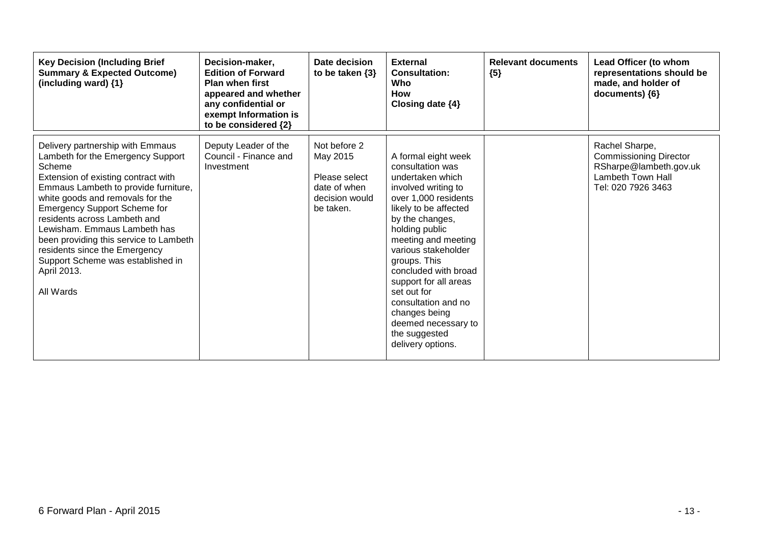| <b>Key Decision (Including Brief</b><br><b>Summary &amp; Expected Outcome)</b><br>(including ward) {1}                                                                                                                                                                                                                                                                                                                                                | Decision-maker,<br><b>Edition of Forward</b><br><b>Plan when first</b><br>appeared and whether<br>any confidential or<br>exempt Information is<br>to be considered {2} | Date decision<br>to be taken $\{3\}$                                                     | <b>External</b><br><b>Consultation:</b><br>Who<br><b>How</b><br>Closing date $\{4\}$                                                                                                                                                                                                                                                                                                                        | <b>Relevant documents</b><br>${5}$ | Lead Officer (to whom<br>representations should be<br>made, and holder of<br>documents) {6}                                 |
|-------------------------------------------------------------------------------------------------------------------------------------------------------------------------------------------------------------------------------------------------------------------------------------------------------------------------------------------------------------------------------------------------------------------------------------------------------|------------------------------------------------------------------------------------------------------------------------------------------------------------------------|------------------------------------------------------------------------------------------|-------------------------------------------------------------------------------------------------------------------------------------------------------------------------------------------------------------------------------------------------------------------------------------------------------------------------------------------------------------------------------------------------------------|------------------------------------|-----------------------------------------------------------------------------------------------------------------------------|
| Delivery partnership with Emmaus<br>Lambeth for the Emergency Support<br>Scheme<br>Extension of existing contract with<br>Emmaus Lambeth to provide furniture,<br>white goods and removals for the<br><b>Emergency Support Scheme for</b><br>residents across Lambeth and<br>Lewisham. Emmaus Lambeth has<br>been providing this service to Lambeth<br>residents since the Emergency<br>Support Scheme was established in<br>April 2013.<br>All Wards | Deputy Leader of the<br>Council - Finance and<br>Investment                                                                                                            | Not before 2<br>May 2015<br>Please select<br>date of when<br>decision would<br>be taken. | A formal eight week<br>consultation was<br>undertaken which<br>involved writing to<br>over 1,000 residents<br>likely to be affected<br>by the changes,<br>holding public<br>meeting and meeting<br>various stakeholder<br>groups. This<br>concluded with broad<br>support for all areas<br>set out for<br>consultation and no<br>changes being<br>deemed necessary to<br>the suggested<br>delivery options. |                                    | Rachel Sharpe,<br><b>Commissioning Director</b><br>RSharpe@lambeth.gov.uk<br><b>Lambeth Town Hall</b><br>Tel: 020 7926 3463 |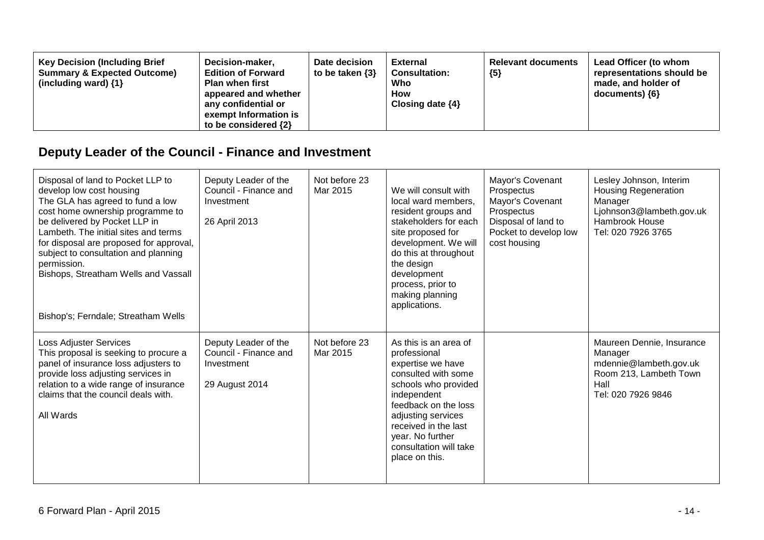| <b>Key Decision (Including Brief</b><br>Decision-maker,<br><b>Summary &amp; Expected Outcome)</b><br><b>Edition of Forward</b><br><b>Plan when first</b><br>(including ward) $\{1\}$<br>appeared and whether<br>any confidential or<br>exempt Information is<br>to be considered $\{2\}$ | Date decision<br>to be taken $\{3\}$ | External<br><b>Consultation:</b><br>Who<br><b>How</b><br>Closing date $\{4\}$ | <b>Relevant documents</b><br>${5}$ | Lead Officer (to whom<br>representations should be<br>made, and holder of<br>$documents)$ {6} |
|------------------------------------------------------------------------------------------------------------------------------------------------------------------------------------------------------------------------------------------------------------------------------------------|--------------------------------------|-------------------------------------------------------------------------------|------------------------------------|-----------------------------------------------------------------------------------------------|
|------------------------------------------------------------------------------------------------------------------------------------------------------------------------------------------------------------------------------------------------------------------------------------------|--------------------------------------|-------------------------------------------------------------------------------|------------------------------------|-----------------------------------------------------------------------------------------------|

# **Deputy Leader of the Council - Finance and Investment**

| Disposal of land to Pocket LLP to<br>develop low cost housing<br>The GLA has agreed to fund a low<br>cost home ownership programme to<br>be delivered by Pocket LLP in<br>Lambeth. The initial sites and terms<br>for disposal are proposed for approval,<br>subject to consultation and planning<br>permission.<br>Bishops, Streatham Wells and Vassall<br>Bishop's; Ferndale; Streatham Wells | Deputy Leader of the<br>Council - Finance and<br>Investment<br>26 April 2013  | Not before 23<br>Mar 2015 | We will consult with<br>local ward members.<br>resident groups and<br>stakeholders for each<br>site proposed for<br>development. We will<br>do this at throughout<br>the design<br>development<br>process, prior to<br>making planning<br>applications.        | Mayor's Covenant<br>Prospectus<br>Mayor's Covenant<br>Prospectus<br>Disposal of land to<br>Pocket to develop low<br>cost housing | Lesley Johnson, Interim<br><b>Housing Regeneration</b><br>Manager<br>Ljohnson3@lambeth.gov.uk<br>Hambrook House<br>Tel: 020 7926 3765 |
|-------------------------------------------------------------------------------------------------------------------------------------------------------------------------------------------------------------------------------------------------------------------------------------------------------------------------------------------------------------------------------------------------|-------------------------------------------------------------------------------|---------------------------|----------------------------------------------------------------------------------------------------------------------------------------------------------------------------------------------------------------------------------------------------------------|----------------------------------------------------------------------------------------------------------------------------------|---------------------------------------------------------------------------------------------------------------------------------------|
| Loss Adjuster Services<br>This proposal is seeking to procure a<br>panel of insurance loss adjusters to<br>provide loss adjusting services in<br>relation to a wide range of insurance<br>claims that the council deals with.<br>All Wards                                                                                                                                                      | Deputy Leader of the<br>Council - Finance and<br>Investment<br>29 August 2014 | Not before 23<br>Mar 2015 | As this is an area of<br>professional<br>expertise we have<br>consulted with some<br>schools who provided<br>independent<br>feedback on the loss<br>adjusting services<br>received in the last<br>year. No further<br>consultation will take<br>place on this. |                                                                                                                                  | Maureen Dennie, Insurance<br>Manager<br>mdennie@lambeth.gov.uk<br>Room 213, Lambeth Town<br>Hall<br>Tel: 020 7926 9846                |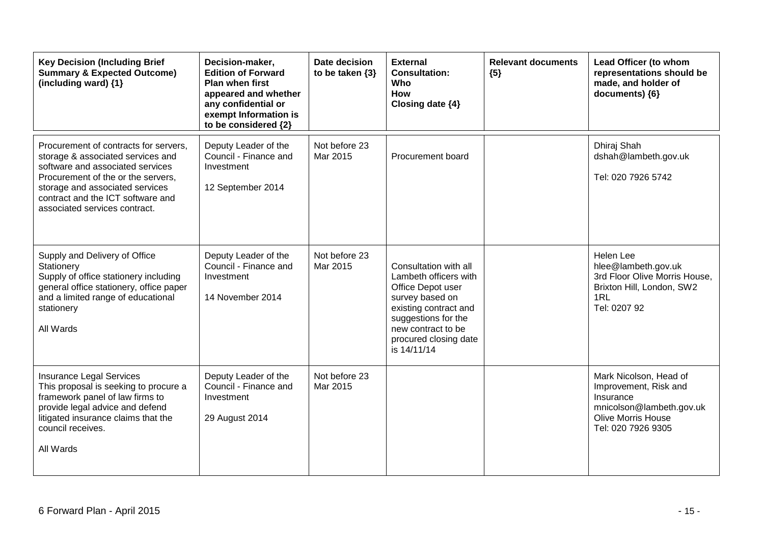| <b>Key Decision (Including Brief</b><br><b>Summary &amp; Expected Outcome)</b><br>(including ward) {1}                                                                                                                                                        | Decision-maker,<br><b>Edition of Forward</b><br><b>Plan when first</b><br>appeared and whether<br>any confidential or<br>exempt Information is<br>to be considered {2} | Date decision<br>to be taken $\{3\}$ | <b>External</b><br><b>Consultation:</b><br>Who<br><b>How</b><br>Closing date {4}                                                                                                                     | <b>Relevant documents</b><br>${5}$ | Lead Officer (to whom<br>representations should be<br>made, and holder of<br>documents) {6}                                                 |
|---------------------------------------------------------------------------------------------------------------------------------------------------------------------------------------------------------------------------------------------------------------|------------------------------------------------------------------------------------------------------------------------------------------------------------------------|--------------------------------------|------------------------------------------------------------------------------------------------------------------------------------------------------------------------------------------------------|------------------------------------|---------------------------------------------------------------------------------------------------------------------------------------------|
| Procurement of contracts for servers,<br>storage & associated services and<br>software and associated services<br>Procurement of the or the servers,<br>storage and associated services<br>contract and the ICT software and<br>associated services contract. | Deputy Leader of the<br>Council - Finance and<br>Investment<br>12 September 2014                                                                                       | Not before 23<br>Mar 2015            | Procurement board                                                                                                                                                                                    |                                    | Dhiraj Shah<br>dshah@lambeth.gov.uk<br>Tel: 020 7926 5742                                                                                   |
| Supply and Delivery of Office<br>Stationery<br>Supply of office stationery including<br>general office stationery, office paper<br>and a limited range of educational<br>stationery<br>All Wards                                                              | Deputy Leader of the<br>Council - Finance and<br>Investment<br>14 November 2014                                                                                        | Not before 23<br>Mar 2015            | Consultation with all<br>Lambeth officers with<br>Office Depot user<br>survey based on<br>existing contract and<br>suggestions for the<br>new contract to be<br>procured closing date<br>is 14/11/14 |                                    | Helen Lee<br>hlee@lambeth.gov.uk<br>3rd Floor Olive Morris House,<br>Brixton Hill, London, SW2<br>1RL<br>Tel: 0207 92                       |
| <b>Insurance Legal Services</b><br>This proposal is seeking to procure a<br>framework panel of law firms to<br>provide legal advice and defend<br>litigated insurance claims that the<br>council receives.<br>All Wards                                       | Deputy Leader of the<br>Council - Finance and<br>Investment<br>29 August 2014                                                                                          | Not before 23<br>Mar 2015            |                                                                                                                                                                                                      |                                    | Mark Nicolson, Head of<br>Improvement, Risk and<br>Insurance<br>mnicolson@lambeth.gov.uk<br><b>Olive Morris House</b><br>Tel: 020 7926 9305 |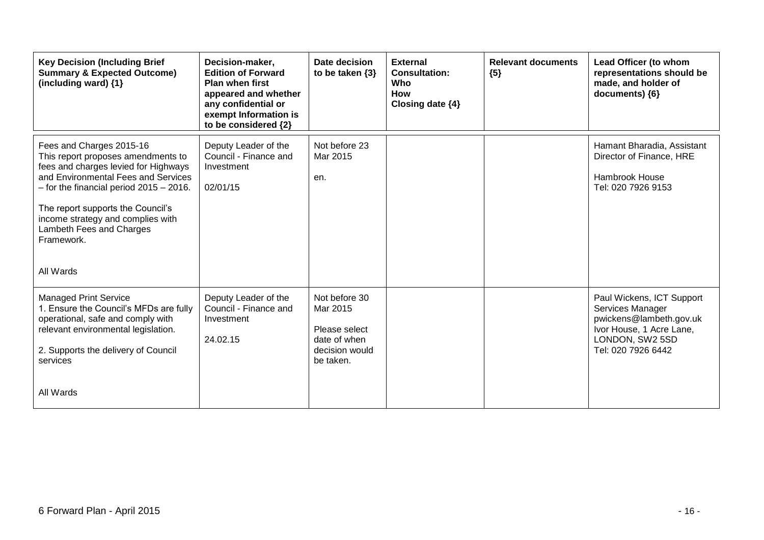| <b>Key Decision (Including Brief</b><br><b>Summary &amp; Expected Outcome)</b><br>(including ward) {1}                                                                                                                                                                                                                        | Decision-maker,<br><b>Edition of Forward</b><br><b>Plan when first</b><br>appeared and whether<br>any confidential or<br>exempt Information is<br>to be considered {2} | Date decision<br>to be taken $\{3\}$                                                      | <b>External</b><br><b>Consultation:</b><br>Who<br>How<br>Closing date $\{4\}$ | <b>Relevant documents</b><br>${5}$ | Lead Officer (to whom<br>representations should be<br>made, and holder of<br>documents) {6}                                                   |
|-------------------------------------------------------------------------------------------------------------------------------------------------------------------------------------------------------------------------------------------------------------------------------------------------------------------------------|------------------------------------------------------------------------------------------------------------------------------------------------------------------------|-------------------------------------------------------------------------------------------|-------------------------------------------------------------------------------|------------------------------------|-----------------------------------------------------------------------------------------------------------------------------------------------|
| Fees and Charges 2015-16<br>This report proposes amendments to<br>fees and charges levied for Highways<br>and Environmental Fees and Services<br>$-$ for the financial period 2015 $-$ 2016.<br>The report supports the Council's<br>income strategy and complies with<br>Lambeth Fees and Charges<br>Framework.<br>All Wards | Deputy Leader of the<br>Council - Finance and<br>Investment<br>02/01/15                                                                                                | Not before 23<br>Mar 2015<br>en.                                                          |                                                                               |                                    | Hamant Bharadia, Assistant<br>Director of Finance, HRE<br><b>Hambrook House</b><br>Tel: 020 7926 9153                                         |
| <b>Managed Print Service</b><br>1. Ensure the Council's MFDs are fully<br>operational, safe and comply with<br>relevant environmental legislation.<br>2. Supports the delivery of Council<br>services<br>All Wards                                                                                                            | Deputy Leader of the<br>Council - Finance and<br>Investment<br>24.02.15                                                                                                | Not before 30<br>Mar 2015<br>Please select<br>date of when<br>decision would<br>be taken. |                                                                               |                                    | Paul Wickens, ICT Support<br>Services Manager<br>pwickens@lambeth.gov.uk<br>Ivor House, 1 Acre Lane,<br>LONDON, SW2 5SD<br>Tel: 020 7926 6442 |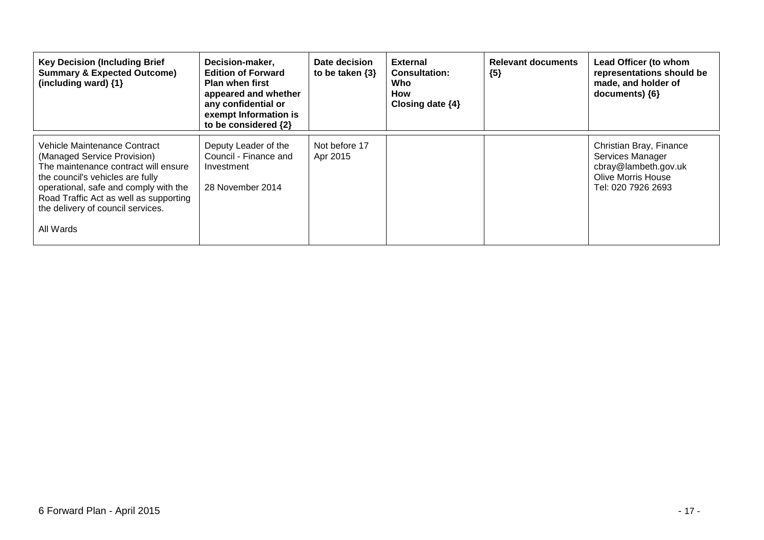| <b>Key Decision (Including Brief</b><br><b>Summary &amp; Expected Outcome)</b><br>(including ward) {1}                                                                                                                                                                       | Decision-maker,<br><b>Edition of Forward</b><br><b>Plan when first</b><br>appeared and whether<br>any confidential or<br>exempt Information is<br>to be considered {2} | Date decision<br>to be taken $\{3\}$ | <b>External</b><br><b>Consultation:</b><br>Who<br>How<br>Closing date $\{4\}$ | <b>Relevant documents</b><br>${5}$ | Lead Officer (to whom<br>representations should be<br>made, and holder of<br>documents) ${6}$                          |
|------------------------------------------------------------------------------------------------------------------------------------------------------------------------------------------------------------------------------------------------------------------------------|------------------------------------------------------------------------------------------------------------------------------------------------------------------------|--------------------------------------|-------------------------------------------------------------------------------|------------------------------------|------------------------------------------------------------------------------------------------------------------------|
| Vehicle Maintenance Contract<br>(Managed Service Provision)<br>The maintenance contract will ensure<br>the council's vehicles are fully<br>operational, safe and comply with the<br>Road Traffic Act as well as supporting<br>the delivery of council services.<br>All Wards | Deputy Leader of the<br>Council - Finance and<br>Investment<br>28 November 2014                                                                                        | Not before 17<br>Apr 2015            |                                                                               |                                    | Christian Bray, Finance<br>Services Manager<br>cbray@lambeth.gov.uk<br><b>Olive Morris House</b><br>Tel: 020 7926 2693 |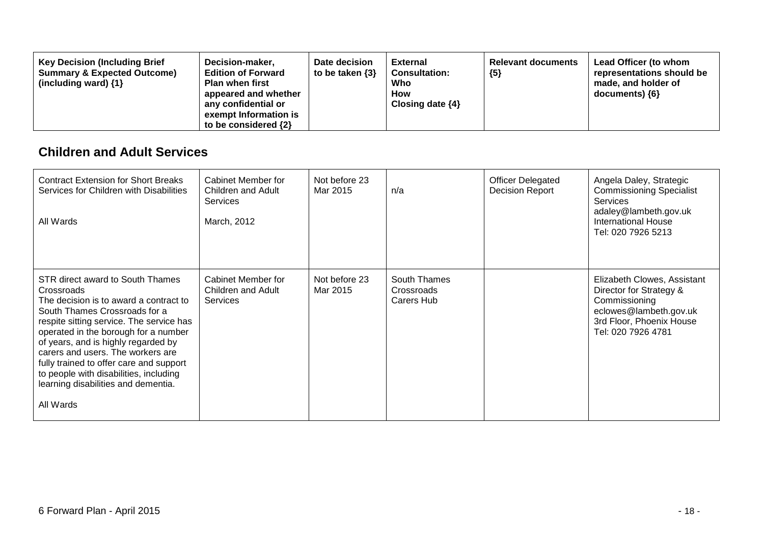| Decision-maker,<br><b>Key Decision (Including Brief</b><br><b>Summary &amp; Expected Outcome)</b><br><b>Edition of Forward</b><br><b>Plan when first</b><br>(including ward) $\{1\}$<br>appeared and whether<br>any confidential or<br>exempt Information is<br>to be considered $\{2\}$ | Date decision<br>to be taken $\{3\}$ | <b>External</b><br><b>Consultation:</b><br>Who<br>How<br>Closing date $\{4\}$ | <b>Relevant documents</b><br>${5}$ | Lead Officer (to whom<br>representations should be<br>made, and holder of<br>documents) ${6}$ |
|------------------------------------------------------------------------------------------------------------------------------------------------------------------------------------------------------------------------------------------------------------------------------------------|--------------------------------------|-------------------------------------------------------------------------------|------------------------------------|-----------------------------------------------------------------------------------------------|
|------------------------------------------------------------------------------------------------------------------------------------------------------------------------------------------------------------------------------------------------------------------------------------------|--------------------------------------|-------------------------------------------------------------------------------|------------------------------------|-----------------------------------------------------------------------------------------------|

#### **Children and Adult Services**

| <b>Contract Extension for Short Breaks</b><br>Services for Children with Disabilities<br>All Wards                                                                                                                                                                                                                                                                                                                                 | Cabinet Member for<br>Children and Adult<br><b>Services</b><br>March, 2012 | Not before 23<br>Mar 2015 | n/a                                      | <b>Officer Delegated</b><br><b>Decision Report</b> | Angela Daley, Strategic<br><b>Commissioning Specialist</b><br><b>Services</b><br>adaley@lambeth.gov.uk<br><b>International House</b><br>Tel: 020 7926 5213 |
|------------------------------------------------------------------------------------------------------------------------------------------------------------------------------------------------------------------------------------------------------------------------------------------------------------------------------------------------------------------------------------------------------------------------------------|----------------------------------------------------------------------------|---------------------------|------------------------------------------|----------------------------------------------------|------------------------------------------------------------------------------------------------------------------------------------------------------------|
| STR direct award to South Thames<br>Crossroads<br>The decision is to award a contract to<br>South Thames Crossroads for a<br>respite sitting service. The service has<br>operated in the borough for a number<br>of years, and is highly regarded by<br>carers and users. The workers are<br>fully trained to offer care and support<br>to people with disabilities, including<br>learning disabilities and dementia.<br>All Wards | Cabinet Member for<br>Children and Adult<br><b>Services</b>                | Not before 23<br>Mar 2015 | South Thames<br>Crossroads<br>Carers Hub |                                                    | Elizabeth Clowes, Assistant<br>Director for Strategy &<br>Commissioning<br>eclowes@lambeth.gov.uk<br>3rd Floor, Phoenix House<br>Tel: 020 7926 4781        |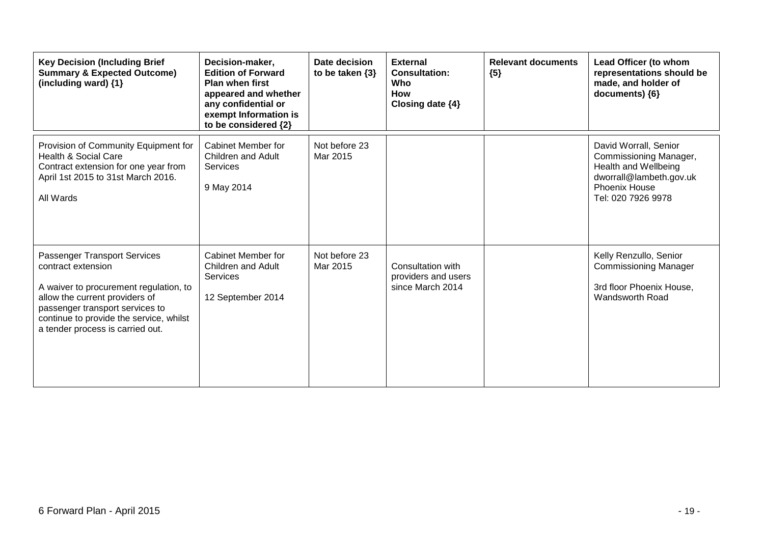| <b>Key Decision (Including Brief</b><br><b>Summary &amp; Expected Outcome)</b><br>(including ward) {1}                                                                                                                                           | Decision-maker,<br><b>Edition of Forward</b><br><b>Plan when first</b><br>appeared and whether<br>any confidential or<br>exempt Information is<br>to be considered {2} | Date decision<br>to be taken $\{3\}$ | <b>External</b><br><b>Consultation:</b><br>Who<br><b>How</b><br>Closing date {4} | <b>Relevant documents</b><br>${5}$ | Lead Officer (to whom<br>representations should be<br>made, and holder of<br>documents) {6}                                                      |
|--------------------------------------------------------------------------------------------------------------------------------------------------------------------------------------------------------------------------------------------------|------------------------------------------------------------------------------------------------------------------------------------------------------------------------|--------------------------------------|----------------------------------------------------------------------------------|------------------------------------|--------------------------------------------------------------------------------------------------------------------------------------------------|
| Provision of Community Equipment for<br>Health & Social Care<br>Contract extension for one year from<br>April 1st 2015 to 31st March 2016.<br>All Wards                                                                                          | Cabinet Member for<br><b>Children and Adult</b><br><b>Services</b><br>9 May 2014                                                                                       | Not before 23<br>Mar 2015            |                                                                                  |                                    | David Worrall, Senior<br>Commissioning Manager,<br>Health and Wellbeing<br>dworrall@lambeth.gov.uk<br><b>Phoenix House</b><br>Tel: 020 7926 9978 |
| Passenger Transport Services<br>contract extension<br>A waiver to procurement regulation, to<br>allow the current providers of<br>passenger transport services to<br>continue to provide the service, whilst<br>a tender process is carried out. | Cabinet Member for<br>Children and Adult<br>Services<br>12 September 2014                                                                                              | Not before 23<br>Mar 2015            | Consultation with<br>providers and users<br>since March 2014                     |                                    | Kelly Renzullo, Senior<br><b>Commissioning Manager</b><br>3rd floor Phoenix House,<br>Wandsworth Road                                            |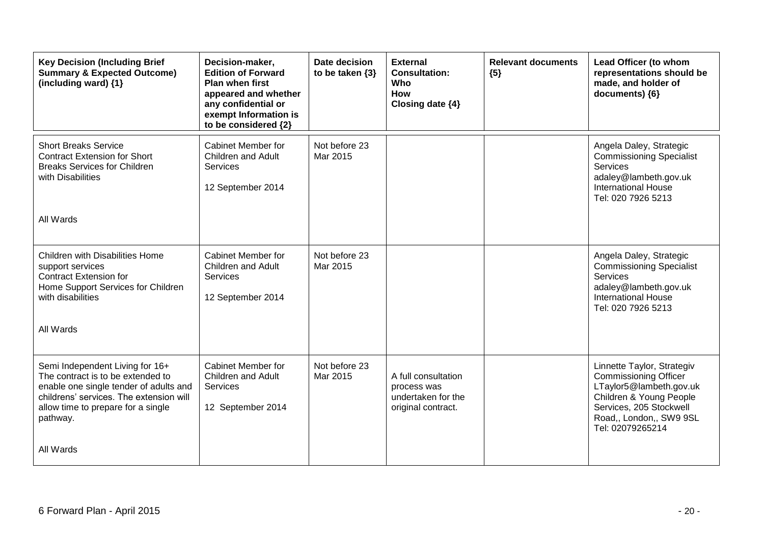| <b>Key Decision (Including Brief</b><br><b>Summary &amp; Expected Outcome)</b><br>(including ward) {1}                                                                                                                   | Decision-maker,<br><b>Edition of Forward</b><br><b>Plan when first</b><br>appeared and whether<br>any confidential or<br>exempt Information is<br>to be considered {2} | Date decision<br>to be taken $\{3\}$ | <b>External</b><br><b>Consultation:</b><br>Who<br><b>How</b><br>Closing date {4} | <b>Relevant documents</b><br>${5}$ | Lead Officer (to whom<br>representations should be<br>made, and holder of<br>documents) {6}                                                                                                |
|--------------------------------------------------------------------------------------------------------------------------------------------------------------------------------------------------------------------------|------------------------------------------------------------------------------------------------------------------------------------------------------------------------|--------------------------------------|----------------------------------------------------------------------------------|------------------------------------|--------------------------------------------------------------------------------------------------------------------------------------------------------------------------------------------|
| <b>Short Breaks Service</b><br><b>Contract Extension for Short</b><br><b>Breaks Services for Children</b><br>with Disabilities<br>All Wards                                                                              | <b>Cabinet Member for</b><br>Children and Adult<br><b>Services</b><br>12 September 2014                                                                                | Not before 23<br>Mar 2015            |                                                                                  |                                    | Angela Daley, Strategic<br><b>Commissioning Specialist</b><br><b>Services</b><br>adaley@lambeth.gov.uk<br><b>International House</b><br>Tel: 020 7926 5213                                 |
| Children with Disabilities Home<br>support services<br><b>Contract Extension for</b><br>Home Support Services for Children<br>with disabilities<br>All Wards                                                             | Cabinet Member for<br>Children and Adult<br>Services<br>12 September 2014                                                                                              | Not before 23<br>Mar 2015            |                                                                                  |                                    | Angela Daley, Strategic<br><b>Commissioning Specialist</b><br>Services<br>adaley@lambeth.gov.uk<br><b>International House</b><br>Tel: 020 7926 5213                                        |
| Semi Independent Living for 16+<br>The contract is to be extended to<br>enable one single tender of adults and<br>childrens' services. The extension will<br>allow time to prepare for a single<br>pathway.<br>All Wards | <b>Cabinet Member for</b><br>Children and Adult<br>Services<br>12 September 2014                                                                                       | Not before 23<br>Mar 2015            | A full consultation<br>process was<br>undertaken for the<br>original contract.   |                                    | Linnette Taylor, Strategiv<br><b>Commissioning Officer</b><br>LTaylor5@lambeth.gov.uk<br>Children & Young People<br>Services, 205 Stockwell<br>Road,, London,, SW9 9SL<br>Tel: 02079265214 |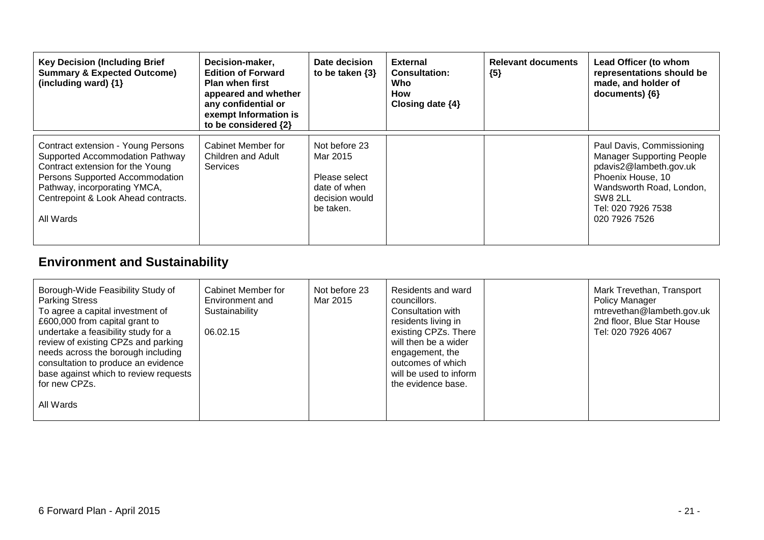| <b>Key Decision (Including Brief</b><br><b>Summary &amp; Expected Outcome)</b><br>(including ward) {1}                                                                                                                           | Decision-maker,<br><b>Edition of Forward</b><br><b>Plan when first</b><br>appeared and whether<br>any confidential or<br>exempt Information is<br>to be considered {2} | Date decision<br>to be taken $\{3\}$                                                      | <b>External</b><br><b>Consultation:</b><br>Who<br>How<br>Closing date {4} | <b>Relevant documents</b><br>${5}$ | Lead Officer (to whom<br>representations should be<br>made, and holder of<br>$documents)$ {6}                                                                                              |
|----------------------------------------------------------------------------------------------------------------------------------------------------------------------------------------------------------------------------------|------------------------------------------------------------------------------------------------------------------------------------------------------------------------|-------------------------------------------------------------------------------------------|---------------------------------------------------------------------------|------------------------------------|--------------------------------------------------------------------------------------------------------------------------------------------------------------------------------------------|
| Contract extension - Young Persons<br>Supported Accommodation Pathway<br>Contract extension for the Young<br>Persons Supported Accommodation<br>Pathway, incorporating YMCA,<br>Centrepoint & Look Ahead contracts.<br>All Wards | Cabinet Member for<br>Children and Adult<br><b>Services</b>                                                                                                            | Not before 23<br>Mar 2015<br>Please select<br>date of when<br>decision would<br>be taken. |                                                                           |                                    | Paul Davis, Commissioning<br><b>Manager Supporting People</b><br>pdavis2@lambeth.gov.uk<br>Phoenix House, 10<br>Wandsworth Road, London,<br>SW8 2LL<br>Tel: 020 7926 7538<br>020 7926 7526 |

# **Environment and Sustainability**

| Borough-Wide Feasibility Study of<br><b>Parking Stress</b><br>To agree a capital investment of<br>£600,000 from capital grant to<br>undertake a feasibility study for a<br>review of existing CPZs and parking<br>needs across the borough including<br>consultation to produce an evidence<br>base against which to review requests<br>for new CPZs. | Cabinet Member for<br>Environment and<br>Sustainability<br>06.02.15 | Not before 23<br>Mar 2015 | Residents and ward<br>councillors.<br>Consultation with<br>residents living in<br>existing CPZs. There<br>will then be a wider<br>engagement, the<br>outcomes of which<br>will be used to inform<br>the evidence base. | Mark Trevethan, Transport<br>Policy Manager<br>mtrevethan@lambeth.gov.uk<br>2nd floor, Blue Star House<br>Tel: 020 7926 4067 |
|-------------------------------------------------------------------------------------------------------------------------------------------------------------------------------------------------------------------------------------------------------------------------------------------------------------------------------------------------------|---------------------------------------------------------------------|---------------------------|------------------------------------------------------------------------------------------------------------------------------------------------------------------------------------------------------------------------|------------------------------------------------------------------------------------------------------------------------------|
| All Wards                                                                                                                                                                                                                                                                                                                                             |                                                                     |                           |                                                                                                                                                                                                                        |                                                                                                                              |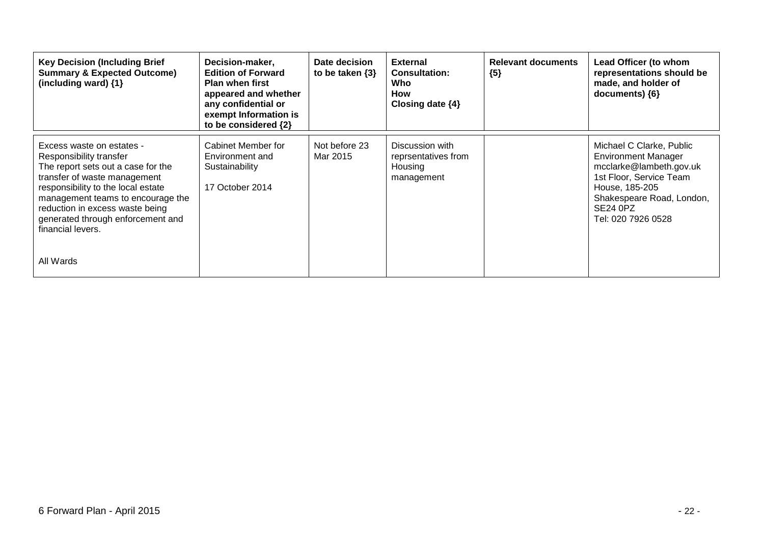| <b>Key Decision (Including Brief</b><br><b>Summary &amp; Expected Outcome)</b><br>(including ward) {1}                                                                                                                                                                                                          | Decision-maker,<br><b>Edition of Forward</b><br><b>Plan when first</b><br>appeared and whether<br>any confidential or<br>exempt Information is<br>to be considered {2} | Date decision<br>to be taken $\{3\}$ | <b>External</b><br><b>Consultation:</b><br>Who<br>How<br>Closing date $\{4\}$ | <b>Relevant documents</b><br>${5}$ | Lead Officer (to whom<br>representations should be<br>made, and holder of<br>documents) ${6}$                                                                                                             |
|-----------------------------------------------------------------------------------------------------------------------------------------------------------------------------------------------------------------------------------------------------------------------------------------------------------------|------------------------------------------------------------------------------------------------------------------------------------------------------------------------|--------------------------------------|-------------------------------------------------------------------------------|------------------------------------|-----------------------------------------------------------------------------------------------------------------------------------------------------------------------------------------------------------|
| Excess waste on estates -<br>Responsibility transfer<br>The report sets out a case for the<br>transfer of waste management<br>responsibility to the local estate<br>management teams to encourage the<br>reduction in excess waste being<br>generated through enforcement and<br>financial levers.<br>All Wards | Cabinet Member for<br>Environment and<br>Sustainability<br>17 October 2014                                                                                             | Not before 23<br>Mar 2015            | Discussion with<br>reprsentatives from<br>Housing<br>management               |                                    | Michael C Clarke, Public<br><b>Environment Manager</b><br>mcclarke@lambeth.gov.uk<br>1st Floor, Service Team<br>House, 185-205<br>Shakespeare Road, London,<br>SE <sub>24</sub> OPZ<br>Tel: 020 7926 0528 |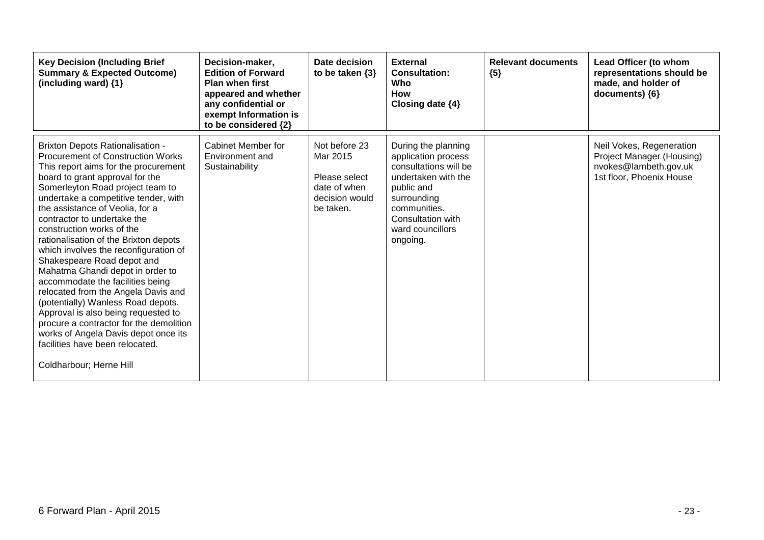| <b>Key Decision (Including Brief</b><br><b>Summary &amp; Expected Outcome)</b><br>(including ward) $\{1\}$                                                                                                                                                                                                                                                                                                                                                                                                                                                                                                                                                                                                                                                                                             | Decision-maker,<br><b>Edition of Forward</b><br><b>Plan when first</b><br>appeared and whether<br>any confidential or<br>exempt Information is<br>to be considered {2} | Date decision<br>to be taken $\{3\}$                                                      | <b>External</b><br><b>Consultation:</b><br>Who<br>How<br>Closing date {4}                                                                                                                    | <b>Relevant documents</b><br>${5}$ | Lead Officer (to whom<br>representations should be<br>made, and holder of<br>documents) {6}                |
|--------------------------------------------------------------------------------------------------------------------------------------------------------------------------------------------------------------------------------------------------------------------------------------------------------------------------------------------------------------------------------------------------------------------------------------------------------------------------------------------------------------------------------------------------------------------------------------------------------------------------------------------------------------------------------------------------------------------------------------------------------------------------------------------------------|------------------------------------------------------------------------------------------------------------------------------------------------------------------------|-------------------------------------------------------------------------------------------|----------------------------------------------------------------------------------------------------------------------------------------------------------------------------------------------|------------------------------------|------------------------------------------------------------------------------------------------------------|
| <b>Brixton Depots Rationalisation -</b><br><b>Procurement of Construction Works</b><br>This report aims for the procurement<br>board to grant approval for the<br>Somerleyton Road project team to<br>undertake a competitive tender, with<br>the assistance of Veolia, for a<br>contractor to undertake the<br>construction works of the<br>rationalisation of the Brixton depots<br>which involves the reconfiguration of<br>Shakespeare Road depot and<br>Mahatma Ghandi depot in order to<br>accommodate the facilities being<br>relocated from the Angela Davis and<br>(potentially) Wanless Road depots.<br>Approval is also being requested to<br>procure a contractor for the demolition<br>works of Angela Davis depot once its<br>facilities have been relocated.<br>Coldharbour; Herne Hill | Cabinet Member for<br>Environment and<br>Sustainability                                                                                                                | Not before 23<br>Mar 2015<br>Please select<br>date of when<br>decision would<br>be taken. | During the planning<br>application process<br>consultations will be<br>undertaken with the<br>public and<br>surrounding<br>communities.<br>Consultation with<br>ward councillors<br>ongoing. |                                    | Neil Vokes, Regeneration<br>Project Manager (Housing)<br>nvokes@lambeth.gov.uk<br>1st floor, Phoenix House |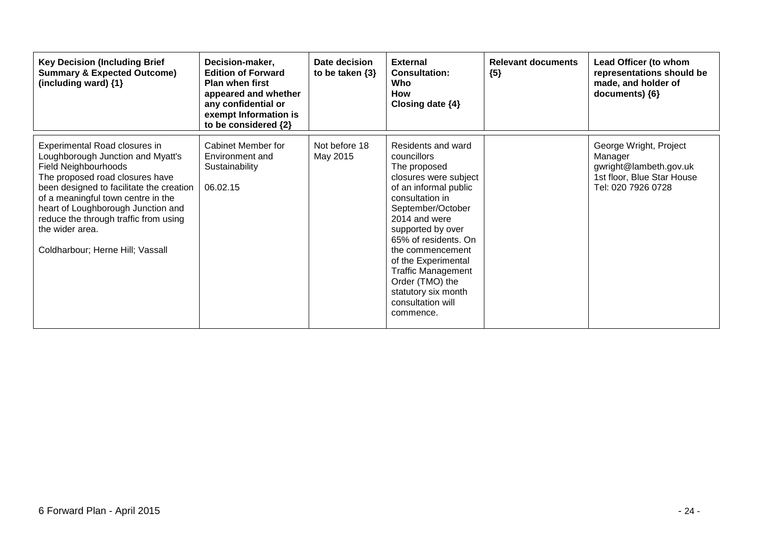| <b>Key Decision (Including Brief</b><br><b>Summary &amp; Expected Outcome)</b><br>(including ward) {1}                                                                                                                                                                                                                                                       | Decision-maker,<br><b>Edition of Forward</b><br><b>Plan when first</b><br>appeared and whether<br>any confidential or<br>exempt Information is<br>to be considered {2} | Date decision<br>to be taken $\{3\}$ | <b>External</b><br><b>Consultation:</b><br>Who<br><b>How</b><br>Closing date $\{4\}$                                                                                                                                                                                                                                                                          | <b>Relevant documents</b><br>${5}$ | Lead Officer (to whom<br>representations should be<br>made, and holder of<br>documents) ${6}$                   |
|--------------------------------------------------------------------------------------------------------------------------------------------------------------------------------------------------------------------------------------------------------------------------------------------------------------------------------------------------------------|------------------------------------------------------------------------------------------------------------------------------------------------------------------------|--------------------------------------|---------------------------------------------------------------------------------------------------------------------------------------------------------------------------------------------------------------------------------------------------------------------------------------------------------------------------------------------------------------|------------------------------------|-----------------------------------------------------------------------------------------------------------------|
| Experimental Road closures in<br>Loughborough Junction and Myatt's<br><b>Field Neighbourhoods</b><br>The proposed road closures have<br>been designed to facilitate the creation<br>of a meaningful town centre in the<br>heart of Loughborough Junction and<br>reduce the through traffic from using<br>the wider area.<br>Coldharbour; Herne Hill; Vassall | Cabinet Member for<br>Environment and<br>Sustainability<br>06.02.15                                                                                                    | Not before 18<br>May 2015            | Residents and ward<br>councillors<br>The proposed<br>closures were subject<br>of an informal public<br>consultation in<br>September/October<br>2014 and were<br>supported by over<br>65% of residents. On<br>the commencement<br>of the Experimental<br><b>Traffic Management</b><br>Order (TMO) the<br>statutory six month<br>consultation will<br>commence. |                                    | George Wright, Project<br>Manager<br>gwright@lambeth.gov.uk<br>1st floor, Blue Star House<br>Tel: 020 7926 0728 |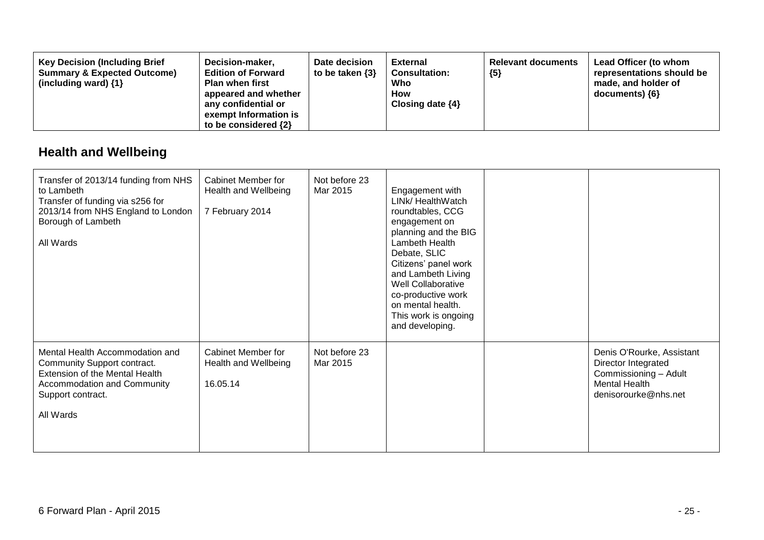| <b>Key Decision (Including Brief</b><br><b>Summary &amp; Expected Outcome)</b><br>(including ward) $\{1\}$ | Decision-maker,<br><b>Edition of Forward</b><br><b>Plan when first</b><br>appeared and whether<br>any confidential or<br>exempt Information is<br>to be considered $\{2\}$ | Date decision<br>to be taken $\{3\}$ | <b>External</b><br><b>Consultation:</b><br>Who<br><b>How</b><br>Closing date $\{4\}$ | <b>Relevant documents</b><br>${5}$ | Lead Officer (to whom<br>representations should be<br>made, and holder of<br>documents) ${6}$ |
|------------------------------------------------------------------------------------------------------------|----------------------------------------------------------------------------------------------------------------------------------------------------------------------------|--------------------------------------|--------------------------------------------------------------------------------------|------------------------------------|-----------------------------------------------------------------------------------------------|
|------------------------------------------------------------------------------------------------------------|----------------------------------------------------------------------------------------------------------------------------------------------------------------------------|--------------------------------------|--------------------------------------------------------------------------------------|------------------------------------|-----------------------------------------------------------------------------------------------|

### **Health and Wellbeing**

| Transfer of 2013/14 funding from NHS<br>to Lambeth<br>Transfer of funding via s256 for<br>2013/14 from NHS England to London<br>Borough of Lambeth<br>All Wards   | <b>Cabinet Member for</b><br>Health and Wellbeing<br>7 February 2014 | Not before 23<br>Mar 2015 | Engagement with<br>LINK/ HealthWatch<br>roundtables, CCG<br>engagement on<br>planning and the BIG<br>Lambeth Health<br>Debate, SLIC<br>Citizens' panel work<br>and Lambeth Living<br>Well Collaborative<br>co-productive work<br>on mental health.<br>This work is ongoing<br>and developing. |                                                                                                                           |
|-------------------------------------------------------------------------------------------------------------------------------------------------------------------|----------------------------------------------------------------------|---------------------------|-----------------------------------------------------------------------------------------------------------------------------------------------------------------------------------------------------------------------------------------------------------------------------------------------|---------------------------------------------------------------------------------------------------------------------------|
| Mental Health Accommodation and<br>Community Support contract.<br>Extension of the Mental Health<br>Accommodation and Community<br>Support contract.<br>All Wards | Cabinet Member for<br>Health and Wellbeing<br>16.05.14               | Not before 23<br>Mar 2015 |                                                                                                                                                                                                                                                                                               | Denis O'Rourke, Assistant<br>Director Integrated<br>Commissioning - Adult<br><b>Mental Health</b><br>denisorourke@nhs.net |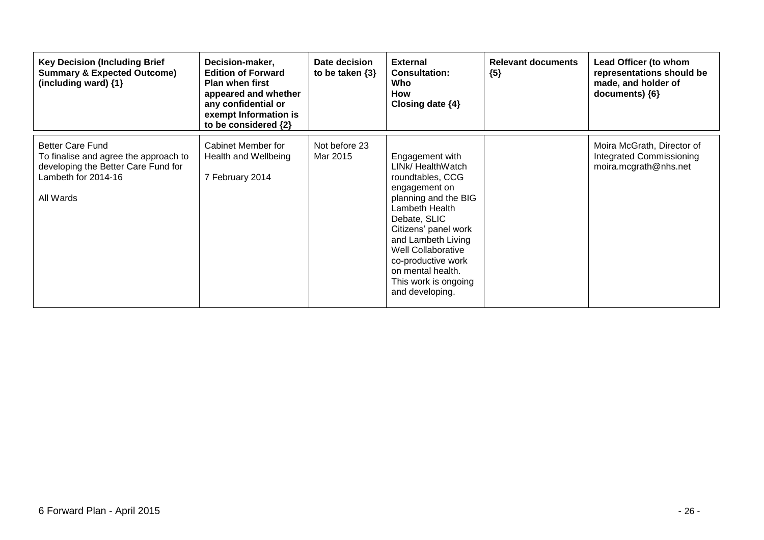| <b>Key Decision (Including Brief</b><br><b>Summary &amp; Expected Outcome)</b><br>(including ward) $\{1\}$                                  | Decision-maker,<br><b>Edition of Forward</b><br><b>Plan when first</b><br>appeared and whether<br>any confidential or<br>exempt Information is<br>to be considered {2} | Date decision<br>to be taken $\{3\}$ | <b>External</b><br><b>Consultation:</b><br>Who<br>How<br>Closing date $\{4\}$                                                                                                                                                                                                                 | <b>Relevant documents</b><br>${5}$ | Lead Officer (to whom<br>representations should be<br>made, and holder of<br>documents) ${6}$ |
|---------------------------------------------------------------------------------------------------------------------------------------------|------------------------------------------------------------------------------------------------------------------------------------------------------------------------|--------------------------------------|-----------------------------------------------------------------------------------------------------------------------------------------------------------------------------------------------------------------------------------------------------------------------------------------------|------------------------------------|-----------------------------------------------------------------------------------------------|
| <b>Better Care Fund</b><br>To finalise and agree the approach to<br>developing the Better Care Fund for<br>Lambeth for 2014-16<br>All Wards | Cabinet Member for<br>Health and Wellbeing<br>7 February 2014                                                                                                          | Not before 23<br>Mar 2015            | Engagement with<br>LINK/ HealthWatch<br>roundtables, CCG<br>engagement on<br>planning and the BIG<br>Lambeth Health<br>Debate, SLIC<br>Citizens' panel work<br>and Lambeth Living<br>Well Collaborative<br>co-productive work<br>on mental health.<br>This work is ongoing<br>and developing. |                                    | Moira McGrath, Director of<br><b>Integrated Commissioning</b><br>moira.mcgrath@nhs.net        |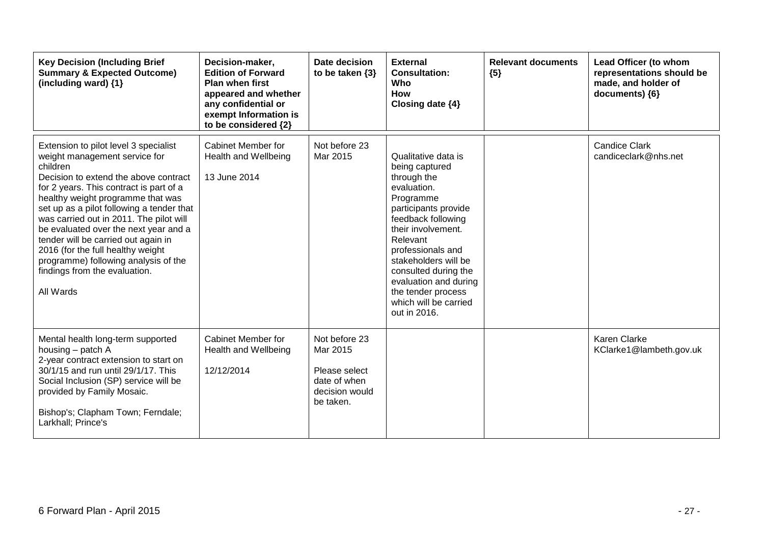| <b>Key Decision (Including Brief</b><br><b>Summary &amp; Expected Outcome)</b><br>(including ward) {1}                                                                                                                                                                                                                                                                                                                                                                                                         | Decision-maker,<br><b>Edition of Forward</b><br><b>Plan when first</b><br>appeared and whether<br>any confidential or<br>exempt Information is<br>to be considered {2} | Date decision<br>to be taken $\{3\}$                                                      | <b>External</b><br><b>Consultation:</b><br>Who<br><b>How</b><br>Closing date {4}                                                                                                                                                                                                                                              | <b>Relevant documents</b><br>${5}$ | Lead Officer (to whom<br>representations should be<br>made, and holder of<br>documents) {6} |
|----------------------------------------------------------------------------------------------------------------------------------------------------------------------------------------------------------------------------------------------------------------------------------------------------------------------------------------------------------------------------------------------------------------------------------------------------------------------------------------------------------------|------------------------------------------------------------------------------------------------------------------------------------------------------------------------|-------------------------------------------------------------------------------------------|-------------------------------------------------------------------------------------------------------------------------------------------------------------------------------------------------------------------------------------------------------------------------------------------------------------------------------|------------------------------------|---------------------------------------------------------------------------------------------|
| Extension to pilot level 3 specialist<br>weight management service for<br>children<br>Decision to extend the above contract<br>for 2 years. This contract is part of a<br>healthy weight programme that was<br>set up as a pilot following a tender that<br>was carried out in 2011. The pilot will<br>be evaluated over the next year and a<br>tender will be carried out again in<br>2016 (for the full healthy weight<br>programme) following analysis of the<br>findings from the evaluation.<br>All Wards | Cabinet Member for<br>Health and Wellbeing<br>13 June 2014                                                                                                             | Not before 23<br>Mar 2015                                                                 | Qualitative data is<br>being captured<br>through the<br>evaluation.<br>Programme<br>participants provide<br>feedback following<br>their involvement.<br>Relevant<br>professionals and<br>stakeholders will be<br>consulted during the<br>evaluation and during<br>the tender process<br>which will be carried<br>out in 2016. |                                    | <b>Candice Clark</b><br>candiceclark@nhs.net                                                |
| Mental health long-term supported<br>housing – patch A<br>2-year contract extension to start on<br>30/1/15 and run until 29/1/17. This<br>Social Inclusion (SP) service will be<br>provided by Family Mosaic.<br>Bishop's; Clapham Town; Ferndale;<br>Larkhall; Prince's                                                                                                                                                                                                                                       | Cabinet Member for<br>Health and Wellbeing<br>12/12/2014                                                                                                               | Not before 23<br>Mar 2015<br>Please select<br>date of when<br>decision would<br>be taken. |                                                                                                                                                                                                                                                                                                                               |                                    | <b>Karen Clarke</b><br>KClarke1@lambeth.gov.uk                                              |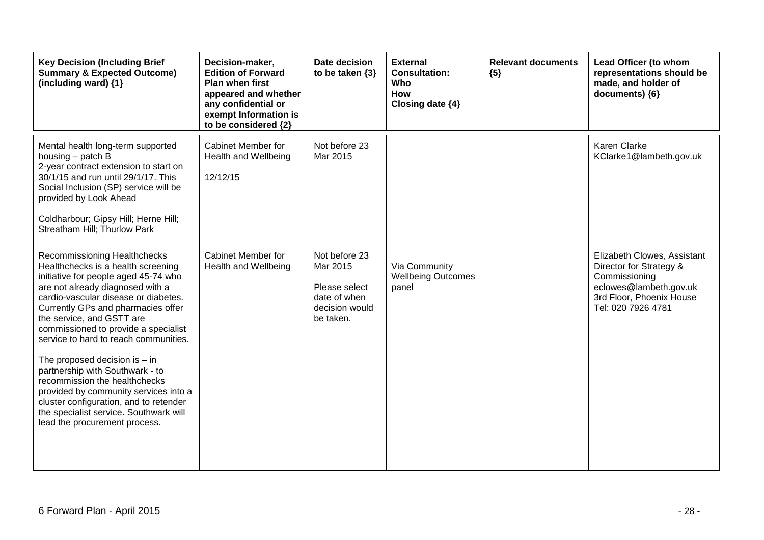| <b>Key Decision (Including Brief</b><br><b>Summary &amp; Expected Outcome)</b><br>(including ward) {1}                                                                                                                                                                                                                                                                                                                                                                                                                                                                                                          | Decision-maker,<br><b>Edition of Forward</b><br>Plan when first<br>appeared and whether<br>any confidential or<br>exempt Information is<br>to be considered {2} | Date decision<br>to be taken $\{3\}$                                                      | <b>External</b><br><b>Consultation:</b><br>Who<br><b>How</b><br>Closing date {4} | <b>Relevant documents</b><br>${5}$ | Lead Officer (to whom<br>representations should be<br>made, and holder of<br>$documents)$ {6}                                                       |
|-----------------------------------------------------------------------------------------------------------------------------------------------------------------------------------------------------------------------------------------------------------------------------------------------------------------------------------------------------------------------------------------------------------------------------------------------------------------------------------------------------------------------------------------------------------------------------------------------------------------|-----------------------------------------------------------------------------------------------------------------------------------------------------------------|-------------------------------------------------------------------------------------------|----------------------------------------------------------------------------------|------------------------------------|-----------------------------------------------------------------------------------------------------------------------------------------------------|
| Mental health long-term supported<br>housing - patch B<br>2-year contract extension to start on<br>30/1/15 and run until 29/1/17. This<br>Social Inclusion (SP) service will be<br>provided by Look Ahead<br>Coldharbour; Gipsy Hill; Herne Hill;<br>Streatham Hill; Thurlow Park                                                                                                                                                                                                                                                                                                                               | Cabinet Member for<br>Health and Wellbeing<br>12/12/15                                                                                                          | Not before 23<br>Mar 2015                                                                 |                                                                                  |                                    | Karen Clarke<br>KClarke1@lambeth.gov.uk                                                                                                             |
| Recommissioning Healthchecks<br>Healthchecks is a health screening<br>initiative for people aged 45-74 who<br>are not already diagnosed with a<br>cardio-vascular disease or diabetes.<br>Currently GPs and pharmacies offer<br>the service, and GSTT are<br>commissioned to provide a specialist<br>service to hard to reach communities.<br>The proposed decision is $-$ in<br>partnership with Southwark - to<br>recommission the healthchecks<br>provided by community services into a<br>cluster configuration, and to retender<br>the specialist service. Southwark will<br>lead the procurement process. | Cabinet Member for<br>Health and Wellbeing                                                                                                                      | Not before 23<br>Mar 2015<br>Please select<br>date of when<br>decision would<br>be taken. | Via Community<br><b>Wellbeing Outcomes</b><br>panel                              |                                    | Elizabeth Clowes, Assistant<br>Director for Strategy &<br>Commissioning<br>eclowes@lambeth.gov.uk<br>3rd Floor, Phoenix House<br>Tel: 020 7926 4781 |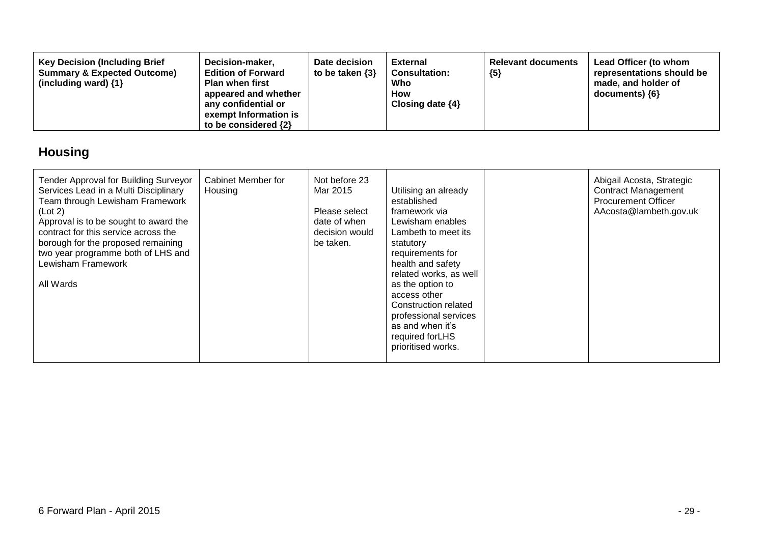| <b>Key Decision (Including Brief</b><br><b>Summary &amp; Expected Outcome)</b><br>(including ward) $\{1\}$ | Decision-maker,<br><b>Edition of Forward</b><br><b>Plan when first</b><br>appeared and whether<br>any confidential or<br>exempt Information is<br>to be considered $\{2\}$ | Date decision<br>to be taken $\{3\}$ | <b>External</b><br><b>Consultation:</b><br>Who<br>How<br>Closing date $\{4\}$ | <b>Relevant documents</b><br>${5}$ | Lead Officer (to whom<br>representations should be<br>made, and holder of<br>documents) ${6}$ |
|------------------------------------------------------------------------------------------------------------|----------------------------------------------------------------------------------------------------------------------------------------------------------------------------|--------------------------------------|-------------------------------------------------------------------------------|------------------------------------|-----------------------------------------------------------------------------------------------|
|------------------------------------------------------------------------------------------------------------|----------------------------------------------------------------------------------------------------------------------------------------------------------------------------|--------------------------------------|-------------------------------------------------------------------------------|------------------------------------|-----------------------------------------------------------------------------------------------|

# **Housing**

| Tender Approval for Building Surveyor<br>Services Lead in a Multi Disciplinary<br>Team through Lewisham Framework<br>(Lot 2)<br>Approval is to be sought to award the<br>contract for this service across the<br>borough for the proposed remaining<br>two year programme both of LHS and<br>Lewisham Framework<br>All Wards | <b>Cabinet Member for</b><br>Housing | Not before 23<br>Mar 2015<br>Please select<br>date of when<br>decision would<br>be taken. | Utilising an already<br>established<br>framework via<br>Lewisham enables<br>Lambeth to meet its<br>statutory<br>requirements for<br>health and safety<br>related works, as well<br>as the option to<br>access other<br>Construction related<br>professional services<br>as and when it's<br>required for LHS<br>prioritised works. |  | Abigail Acosta, Strategic<br><b>Contract Management</b><br><b>Procurement Officer</b><br>AAcosta@lambeth.gov.uk |
|------------------------------------------------------------------------------------------------------------------------------------------------------------------------------------------------------------------------------------------------------------------------------------------------------------------------------|--------------------------------------|-------------------------------------------------------------------------------------------|------------------------------------------------------------------------------------------------------------------------------------------------------------------------------------------------------------------------------------------------------------------------------------------------------------------------------------|--|-----------------------------------------------------------------------------------------------------------------|
|------------------------------------------------------------------------------------------------------------------------------------------------------------------------------------------------------------------------------------------------------------------------------------------------------------------------------|--------------------------------------|-------------------------------------------------------------------------------------------|------------------------------------------------------------------------------------------------------------------------------------------------------------------------------------------------------------------------------------------------------------------------------------------------------------------------------------|--|-----------------------------------------------------------------------------------------------------------------|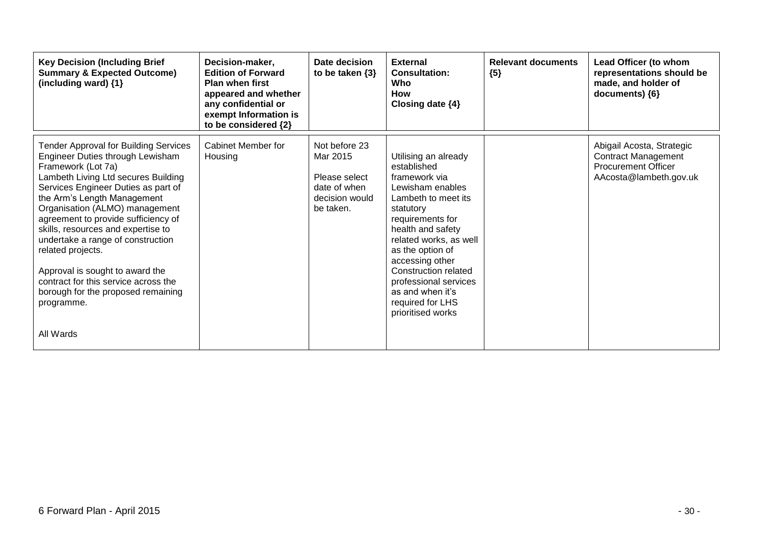| <b>Key Decision (Including Brief</b><br><b>Summary &amp; Expected Outcome)</b><br>(including ward) {1}                                                                                                                                                                                                                                                                                                                                                                                                                                   | Decision-maker,<br><b>Edition of Forward</b><br><b>Plan when first</b><br>appeared and whether<br>any confidential or<br>exempt Information is<br>to be considered {2} | Date decision<br>to be taken $\{3\}$                                                      | <b>External</b><br><b>Consultation:</b><br>Who<br><b>How</b><br>Closing date $\{4\}$                                                                                                                                                                                                                                                 | <b>Relevant documents</b><br>${5}$ | Lead Officer (to whom<br>representations should be<br>made, and holder of<br>documents) ${6}$                   |
|------------------------------------------------------------------------------------------------------------------------------------------------------------------------------------------------------------------------------------------------------------------------------------------------------------------------------------------------------------------------------------------------------------------------------------------------------------------------------------------------------------------------------------------|------------------------------------------------------------------------------------------------------------------------------------------------------------------------|-------------------------------------------------------------------------------------------|--------------------------------------------------------------------------------------------------------------------------------------------------------------------------------------------------------------------------------------------------------------------------------------------------------------------------------------|------------------------------------|-----------------------------------------------------------------------------------------------------------------|
| <b>Tender Approval for Building Services</b><br>Engineer Duties through Lewisham<br>Framework (Lot 7a)<br>Lambeth Living Ltd secures Building<br>Services Engineer Duties as part of<br>the Arm's Length Management<br>Organisation (ALMO) management<br>agreement to provide sufficiency of<br>skills, resources and expertise to<br>undertake a range of construction<br>related projects.<br>Approval is sought to award the<br>contract for this service across the<br>borough for the proposed remaining<br>programme.<br>All Wards | Cabinet Member for<br>Housing                                                                                                                                          | Not before 23<br>Mar 2015<br>Please select<br>date of when<br>decision would<br>be taken. | Utilising an already<br>established<br>framework via<br>Lewisham enables<br>Lambeth to meet its<br>statutory<br>requirements for<br>health and safety<br>related works, as well<br>as the option of<br>accessing other<br>Construction related<br>professional services<br>as and when it's<br>required for LHS<br>prioritised works |                                    | Abigail Acosta, Strategic<br><b>Contract Management</b><br><b>Procurement Officer</b><br>AAcosta@lambeth.gov.uk |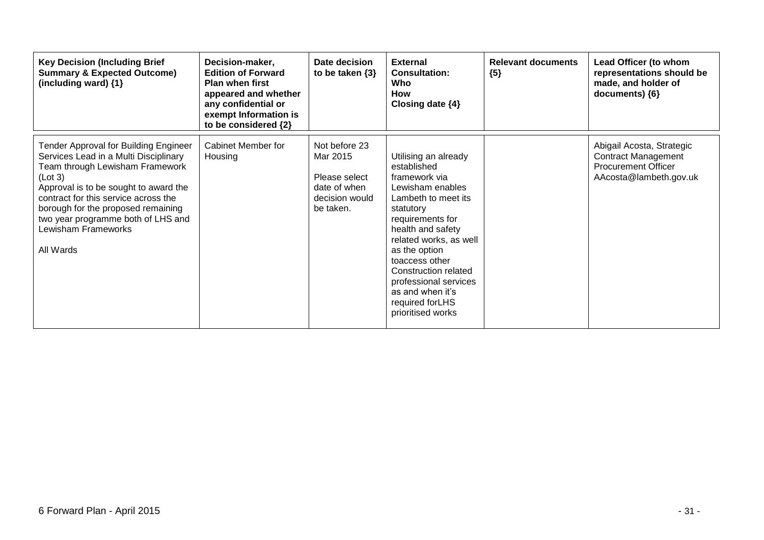| <b>Key Decision (Including Brief</b><br><b>Summary &amp; Expected Outcome)</b><br>(including ward) {1}                                                                                                                                                                                                                        | Decision-maker,<br><b>Edition of Forward</b><br><b>Plan when first</b><br>appeared and whether<br>any confidential or<br>exempt Information is<br>to be considered {2} | Date decision<br>to be taken $\{3\}$                                                      | <b>External</b><br><b>Consultation:</b><br>Who<br>How<br>Closing date $\{4\}$                                                                                                                                                                                                                                                    | <b>Relevant documents</b><br>${5}$ | Lead Officer (to whom<br>representations should be<br>made, and holder of<br>documents) ${6}$                   |
|-------------------------------------------------------------------------------------------------------------------------------------------------------------------------------------------------------------------------------------------------------------------------------------------------------------------------------|------------------------------------------------------------------------------------------------------------------------------------------------------------------------|-------------------------------------------------------------------------------------------|----------------------------------------------------------------------------------------------------------------------------------------------------------------------------------------------------------------------------------------------------------------------------------------------------------------------------------|------------------------------------|-----------------------------------------------------------------------------------------------------------------|
| Tender Approval for Building Engineer<br>Services Lead in a Multi Disciplinary<br>Team through Lewisham Framework<br>(Lot 3)<br>Approval is to be sought to award the<br>contract for this service across the<br>borough for the proposed remaining<br>two year programme both of LHS and<br>Lewisham Frameworks<br>All Wards | Cabinet Member for<br>Housing                                                                                                                                          | Not before 23<br>Mar 2015<br>Please select<br>date of when<br>decision would<br>be taken. | Utilising an already<br>established<br>framework via<br>Lewisham enables<br>Lambeth to meet its<br>statutory<br>requirements for<br>health and safety<br>related works, as well<br>as the option<br>toaccess other<br>Construction related<br>professional services<br>as and when it's<br>required for LHS<br>prioritised works |                                    | Abigail Acosta, Strategic<br><b>Contract Management</b><br><b>Procurement Officer</b><br>AAcosta@lambeth.gov.uk |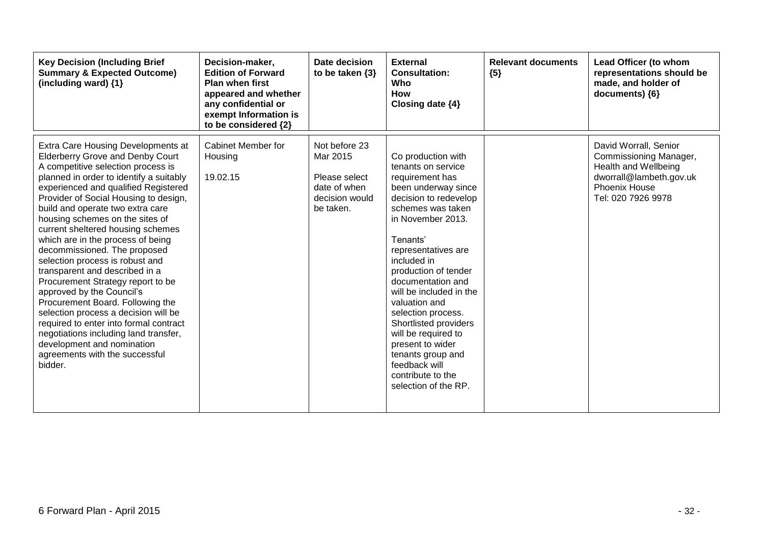| <b>Key Decision (Including Brief</b><br><b>Summary &amp; Expected Outcome)</b><br>(including ward) {1}                                                                                                                                                                                                                                                                                                                                                                                                                                                                                                                                                                                                                                                                                                            | Decision-maker,<br><b>Edition of Forward</b><br><b>Plan when first</b><br>appeared and whether<br>any confidential or<br>exempt Information is<br>to be considered {2} | Date decision<br>to be taken $\{3\}$                                                      | <b>External</b><br><b>Consultation:</b><br>Who<br>How<br>Closing date {4}                                                                                                                                                                                                                                                                                                                                                                                                     | <b>Relevant documents</b><br>${5}$ | Lead Officer (to whom<br>representations should be<br>made, and holder of<br>documents) {6}                                                      |
|-------------------------------------------------------------------------------------------------------------------------------------------------------------------------------------------------------------------------------------------------------------------------------------------------------------------------------------------------------------------------------------------------------------------------------------------------------------------------------------------------------------------------------------------------------------------------------------------------------------------------------------------------------------------------------------------------------------------------------------------------------------------------------------------------------------------|------------------------------------------------------------------------------------------------------------------------------------------------------------------------|-------------------------------------------------------------------------------------------|-------------------------------------------------------------------------------------------------------------------------------------------------------------------------------------------------------------------------------------------------------------------------------------------------------------------------------------------------------------------------------------------------------------------------------------------------------------------------------|------------------------------------|--------------------------------------------------------------------------------------------------------------------------------------------------|
| Extra Care Housing Developments at<br><b>Elderberry Grove and Denby Court</b><br>A competitive selection process is<br>planned in order to identify a suitably<br>experienced and qualified Registered<br>Provider of Social Housing to design,<br>build and operate two extra care<br>housing schemes on the sites of<br>current sheltered housing schemes<br>which are in the process of being<br>decommissioned. The proposed<br>selection process is robust and<br>transparent and described in a<br>Procurement Strategy report to be<br>approved by the Council's<br>Procurement Board. Following the<br>selection process a decision will be<br>required to enter into formal contract<br>negotiations including land transfer,<br>development and nomination<br>agreements with the successful<br>bidder. | <b>Cabinet Member for</b><br>Housing<br>19.02.15                                                                                                                       | Not before 23<br>Mar 2015<br>Please select<br>date of when<br>decision would<br>be taken. | Co production with<br>tenants on service<br>requirement has<br>been underway since<br>decision to redevelop<br>schemes was taken<br>in November 2013.<br>Tenants'<br>representatives are<br>included in<br>production of tender<br>documentation and<br>will be included in the<br>valuation and<br>selection process.<br>Shortlisted providers<br>will be required to<br>present to wider<br>tenants group and<br>feedback will<br>contribute to the<br>selection of the RP. |                                    | David Worrall, Senior<br>Commissioning Manager,<br>Health and Wellbeing<br>dworrall@lambeth.gov.uk<br><b>Phoenix House</b><br>Tel: 020 7926 9978 |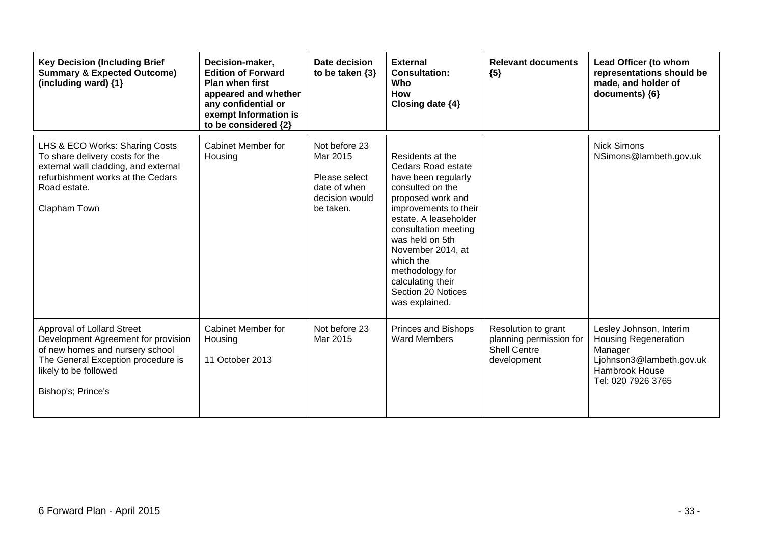| <b>Key Decision (Including Brief</b><br><b>Summary &amp; Expected Outcome)</b><br>(including ward) {1}                                                                                    | Decision-maker,<br><b>Edition of Forward</b><br><b>Plan when first</b><br>appeared and whether<br>any confidential or<br>exempt Information is<br>to be considered {2} | Date decision<br>to be taken $\{3\}$                                                      | <b>External</b><br><b>Consultation:</b><br>Who<br><b>How</b><br>Closing date {4}                                                                                                                                                                                                                                      | <b>Relevant documents</b><br>${5}$                                                   | Lead Officer (to whom<br>representations should be<br>made, and holder of<br>documents) {6}                                                  |
|-------------------------------------------------------------------------------------------------------------------------------------------------------------------------------------------|------------------------------------------------------------------------------------------------------------------------------------------------------------------------|-------------------------------------------------------------------------------------------|-----------------------------------------------------------------------------------------------------------------------------------------------------------------------------------------------------------------------------------------------------------------------------------------------------------------------|--------------------------------------------------------------------------------------|----------------------------------------------------------------------------------------------------------------------------------------------|
| LHS & ECO Works: Sharing Costs<br>To share delivery costs for the<br>external wall cladding, and external<br>refurbishment works at the Cedars<br>Road estate.<br>Clapham Town            | Cabinet Member for<br>Housing                                                                                                                                          | Not before 23<br>Mar 2015<br>Please select<br>date of when<br>decision would<br>be taken. | Residents at the<br>Cedars Road estate<br>have been regularly<br>consulted on the<br>proposed work and<br>improvements to their<br>estate. A leaseholder<br>consultation meeting<br>was held on 5th<br>November 2014, at<br>which the<br>methodology for<br>calculating their<br>Section 20 Notices<br>was explained. |                                                                                      | <b>Nick Simons</b><br>NSimons@lambeth.gov.uk                                                                                                 |
| Approval of Lollard Street<br>Development Agreement for provision<br>of new homes and nursery school<br>The General Exception procedure is<br>likely to be followed<br>Bishop's; Prince's | Cabinet Member for<br>Housing<br>11 October 2013                                                                                                                       | Not before 23<br>Mar 2015                                                                 | <b>Princes and Bishops</b><br><b>Ward Members</b>                                                                                                                                                                                                                                                                     | Resolution to grant<br>planning permission for<br><b>Shell Centre</b><br>development | Lesley Johnson, Interim<br><b>Housing Regeneration</b><br>Manager<br>Ljohnson3@lambeth.gov.uk<br><b>Hambrook House</b><br>Tel: 020 7926 3765 |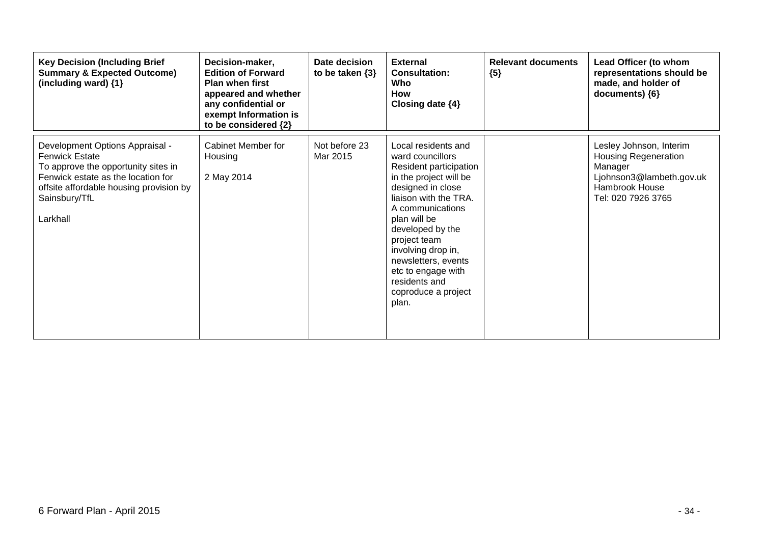| <b>Key Decision (Including Brief</b><br><b>Summary &amp; Expected Outcome)</b><br>(including ward) {1}                                                                                                        | Decision-maker,<br><b>Edition of Forward</b><br><b>Plan when first</b><br>appeared and whether<br>any confidential or<br>exempt Information is<br>to be considered {2} | Date decision<br>to be taken $\{3\}$ | <b>External</b><br><b>Consultation:</b><br>Who<br><b>How</b><br>Closing date {4}                                                                                                                                                                                                                                                      | <b>Relevant documents</b><br>${5}$ | Lead Officer (to whom<br>representations should be<br>made, and holder of<br>documents) ${6}$                                         |
|---------------------------------------------------------------------------------------------------------------------------------------------------------------------------------------------------------------|------------------------------------------------------------------------------------------------------------------------------------------------------------------------|--------------------------------------|---------------------------------------------------------------------------------------------------------------------------------------------------------------------------------------------------------------------------------------------------------------------------------------------------------------------------------------|------------------------------------|---------------------------------------------------------------------------------------------------------------------------------------|
| Development Options Appraisal -<br><b>Fenwick Estate</b><br>To approve the opportunity sites in<br>Fenwick estate as the location for<br>offsite affordable housing provision by<br>Sainsbury/TfL<br>Larkhall | <b>Cabinet Member for</b><br>Housing<br>2 May 2014                                                                                                                     | Not before 23<br>Mar 2015            | Local residents and<br>ward councillors<br>Resident participation<br>in the project will be<br>designed in close<br>liaison with the TRA.<br>A communications<br>plan will be<br>developed by the<br>project team<br>involving drop in,<br>newsletters, events<br>etc to engage with<br>residents and<br>coproduce a project<br>plan. |                                    | Lesley Johnson, Interim<br><b>Housing Regeneration</b><br>Manager<br>Ljohnson3@lambeth.gov.uk<br>Hambrook House<br>Tel: 020 7926 3765 |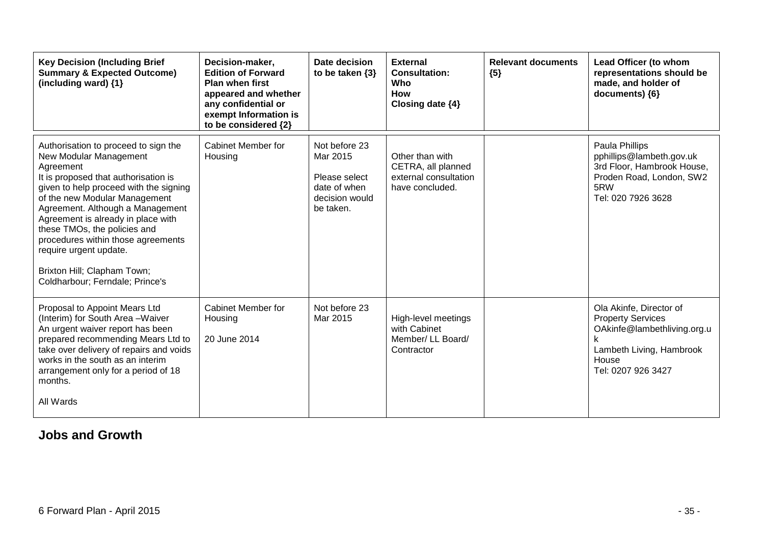| <b>Key Decision (Including Brief</b><br><b>Summary &amp; Expected Outcome)</b><br>(including ward) {1}                                                                                                                                                                                                                                                                                                                                     | Decision-maker,<br><b>Edition of Forward</b><br><b>Plan when first</b><br>appeared and whether<br>any confidential or<br>exempt Information is<br>to be considered {2} | Date decision<br>to be taken $\{3\}$                                                      | <b>External</b><br><b>Consultation:</b><br>Who<br><b>How</b><br>Closing date {4}  | <b>Relevant documents</b><br>${5}$ | Lead Officer (to whom<br>representations should be<br>made, and holder of<br>documents) {6}                                                   |
|--------------------------------------------------------------------------------------------------------------------------------------------------------------------------------------------------------------------------------------------------------------------------------------------------------------------------------------------------------------------------------------------------------------------------------------------|------------------------------------------------------------------------------------------------------------------------------------------------------------------------|-------------------------------------------------------------------------------------------|-----------------------------------------------------------------------------------|------------------------------------|-----------------------------------------------------------------------------------------------------------------------------------------------|
| Authorisation to proceed to sign the<br>New Modular Management<br>Agreement<br>It is proposed that authorisation is<br>given to help proceed with the signing<br>of the new Modular Management<br>Agreement. Although a Management<br>Agreement is already in place with<br>these TMOs, the policies and<br>procedures within those agreements<br>require urgent update.<br>Brixton Hill; Clapham Town;<br>Coldharbour; Ferndale; Prince's | Cabinet Member for<br>Housing                                                                                                                                          | Not before 23<br>Mar 2015<br>Please select<br>date of when<br>decision would<br>be taken. | Other than with<br>CETRA, all planned<br>external consultation<br>have concluded. |                                    | Paula Phillips<br>pphillips@lambeth.gov.uk<br>3rd Floor, Hambrook House,<br>Proden Road, London, SW2<br>5RW<br>Tel: 020 7926 3628             |
| Proposal to Appoint Mears Ltd<br>(Interim) for South Area - Waiver<br>An urgent waiver report has been<br>prepared recommending Mears Ltd to<br>take over delivery of repairs and voids<br>works in the south as an interim<br>arrangement only for a period of 18<br>months.<br>All Wards                                                                                                                                                 | Cabinet Member for<br>Housing<br>20 June 2014                                                                                                                          | Not before 23<br>Mar 2015                                                                 | High-level meetings<br>with Cabinet<br>Member/ LL Board/<br>Contractor            |                                    | Ola Akinfe, Director of<br><b>Property Services</b><br>OAkinfe@lambethliving.org.u<br>Lambeth Living, Hambrook<br>House<br>Tel: 0207 926 3427 |

#### **Jobs and Growth**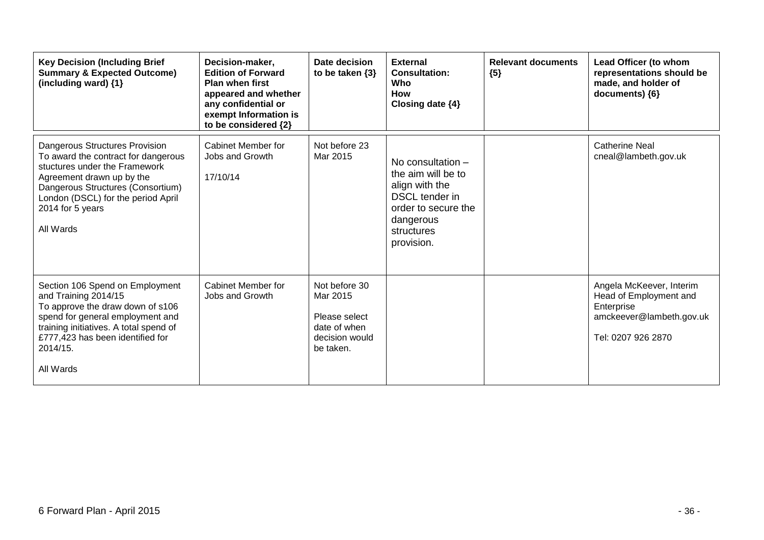| <b>Key Decision (Including Brief</b><br><b>Summary &amp; Expected Outcome)</b><br>(including ward) {1}                                                                                                                                          | Decision-maker,<br><b>Edition of Forward</b><br><b>Plan when first</b><br>appeared and whether<br>any confidential or<br>exempt Information is<br>to be considered {2} | Date decision<br>to be taken $\{3\}$                                                      | <b>External</b><br><b>Consultation:</b><br>Who<br><b>How</b><br>Closing date {4}                                                            | <b>Relevant documents</b><br>${5}$ | Lead Officer (to whom<br>representations should be<br>made, and holder of<br>documents) {6}                        |
|-------------------------------------------------------------------------------------------------------------------------------------------------------------------------------------------------------------------------------------------------|------------------------------------------------------------------------------------------------------------------------------------------------------------------------|-------------------------------------------------------------------------------------------|---------------------------------------------------------------------------------------------------------------------------------------------|------------------------------------|--------------------------------------------------------------------------------------------------------------------|
| Dangerous Structures Provision<br>To award the contract for dangerous<br>stuctures under the Framework<br>Agreement drawn up by the<br>Dangerous Structures (Consortium)<br>London (DSCL) for the period April<br>2014 for 5 years<br>All Wards | Cabinet Member for<br>Jobs and Growth<br>17/10/14                                                                                                                      | Not before 23<br>Mar 2015                                                                 | No consultation -<br>the aim will be to<br>align with the<br>DSCL tender in<br>order to secure the<br>dangerous<br>structures<br>provision. |                                    | <b>Catherine Neal</b><br>cneal@lambeth.gov.uk                                                                      |
| Section 106 Spend on Employment<br>and Training 2014/15<br>To approve the draw down of s106<br>spend for general employment and<br>training initiatives. A total spend of<br>£777,423 has been identified for<br>2014/15.<br>All Wards          | Cabinet Member for<br>Jobs and Growth                                                                                                                                  | Not before 30<br>Mar 2015<br>Please select<br>date of when<br>decision would<br>be taken. |                                                                                                                                             |                                    | Angela McKeever, Interim<br>Head of Employment and<br>Enterprise<br>amckeever@lambeth.gov.uk<br>Tel: 0207 926 2870 |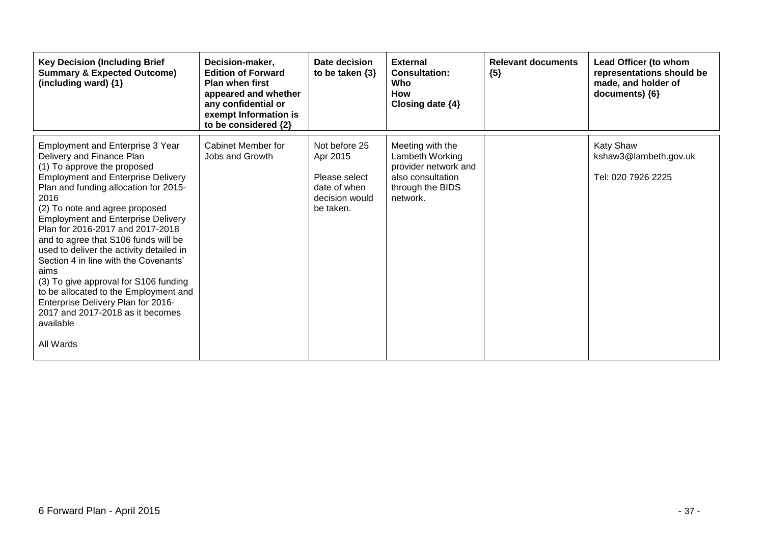| <b>Key Decision (Including Brief</b><br><b>Summary &amp; Expected Outcome)</b><br>(including ward) {1}                                                                                                                                                                                                                                                                                                                                                                                                                                                                                                                                   | Decision-maker,<br><b>Edition of Forward</b><br><b>Plan when first</b><br>appeared and whether<br>any confidential or<br>exempt Information is<br>to be considered {2} | Date decision<br>to be taken $\{3\}$                                                      | <b>External</b><br><b>Consultation:</b><br>Who<br><b>How</b><br>Closing date $\{4\}$                             | <b>Relevant documents</b><br>${5}$ | Lead Officer (to whom<br>representations should be<br>made, and holder of<br>documents) {6} |
|------------------------------------------------------------------------------------------------------------------------------------------------------------------------------------------------------------------------------------------------------------------------------------------------------------------------------------------------------------------------------------------------------------------------------------------------------------------------------------------------------------------------------------------------------------------------------------------------------------------------------------------|------------------------------------------------------------------------------------------------------------------------------------------------------------------------|-------------------------------------------------------------------------------------------|------------------------------------------------------------------------------------------------------------------|------------------------------------|---------------------------------------------------------------------------------------------|
| Employment and Enterprise 3 Year<br>Delivery and Finance Plan<br>(1) To approve the proposed<br><b>Employment and Enterprise Delivery</b><br>Plan and funding allocation for 2015-<br>2016<br>(2) To note and agree proposed<br><b>Employment and Enterprise Delivery</b><br>Plan for 2016-2017 and 2017-2018<br>and to agree that S106 funds will be<br>used to deliver the activity detailed in<br>Section 4 in line with the Covenants'<br>aims<br>(3) To give approval for S106 funding<br>to be allocated to the Employment and<br>Enterprise Delivery Plan for 2016-<br>2017 and 2017-2018 as it becomes<br>available<br>All Wards | Cabinet Member for<br>Jobs and Growth                                                                                                                                  | Not before 25<br>Apr 2015<br>Please select<br>date of when<br>decision would<br>be taken. | Meeting with the<br>Lambeth Working<br>provider network and<br>also consultation<br>through the BIDS<br>network. |                                    | <b>Katy Shaw</b><br>kshaw3@lambeth.gov.uk<br>Tel: 020 7926 2225                             |